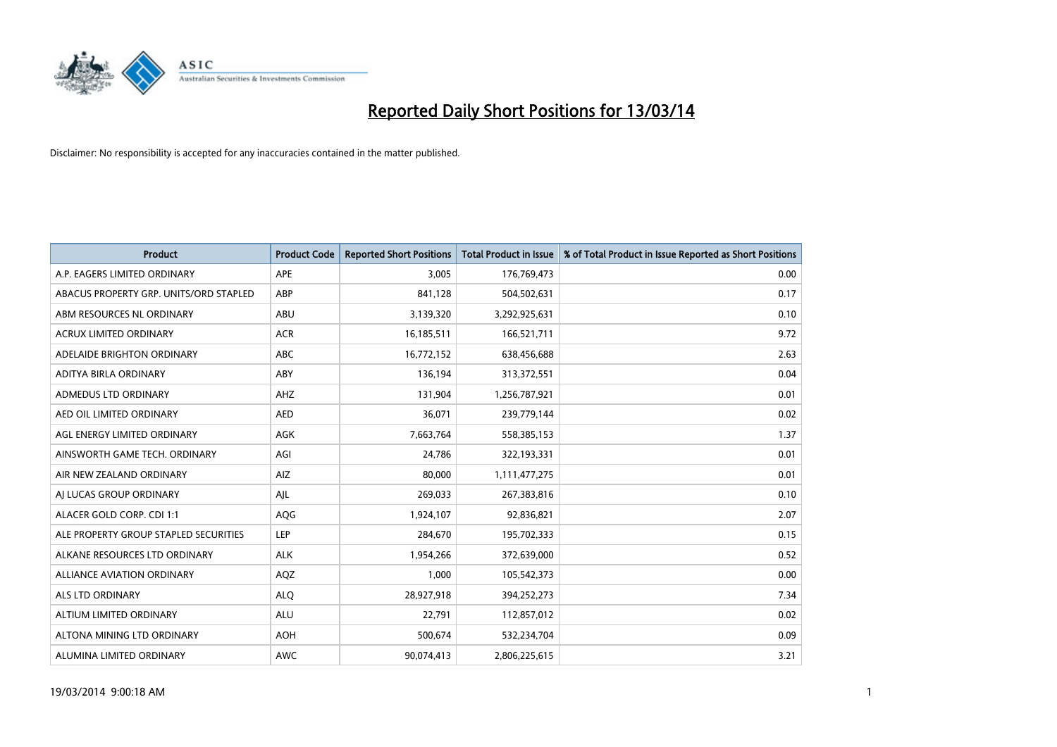

| <b>Product</b>                         | <b>Product Code</b> | <b>Reported Short Positions</b> | <b>Total Product in Issue</b> | % of Total Product in Issue Reported as Short Positions |
|----------------------------------------|---------------------|---------------------------------|-------------------------------|---------------------------------------------------------|
| A.P. EAGERS LIMITED ORDINARY           | <b>APE</b>          | 3,005                           | 176,769,473                   | 0.00                                                    |
| ABACUS PROPERTY GRP. UNITS/ORD STAPLED | ABP                 | 841,128                         | 504,502,631                   | 0.17                                                    |
| ABM RESOURCES NL ORDINARY              | ABU                 | 3,139,320                       | 3,292,925,631                 | 0.10                                                    |
| ACRUX LIMITED ORDINARY                 | <b>ACR</b>          | 16,185,511                      | 166,521,711                   | 9.72                                                    |
| ADELAIDE BRIGHTON ORDINARY             | <b>ABC</b>          | 16,772,152                      | 638,456,688                   | 2.63                                                    |
| ADITYA BIRLA ORDINARY                  | ABY                 | 136,194                         | 313,372,551                   | 0.04                                                    |
| <b>ADMEDUS LTD ORDINARY</b>            | AHZ                 | 131.904                         | 1,256,787,921                 | 0.01                                                    |
| AED OIL LIMITED ORDINARY               | <b>AED</b>          | 36,071                          | 239,779,144                   | 0.02                                                    |
| AGL ENERGY LIMITED ORDINARY            | <b>AGK</b>          | 7,663,764                       | 558,385,153                   | 1.37                                                    |
| AINSWORTH GAME TECH. ORDINARY          | AGI                 | 24,786                          | 322,193,331                   | 0.01                                                    |
| AIR NEW ZEALAND ORDINARY               | AIZ                 | 80,000                          | 1,111,477,275                 | 0.01                                                    |
| AI LUCAS GROUP ORDINARY                | AJL                 | 269,033                         | 267,383,816                   | 0.10                                                    |
| ALACER GOLD CORP. CDI 1:1              | AQG                 | 1,924,107                       | 92,836,821                    | 2.07                                                    |
| ALE PROPERTY GROUP STAPLED SECURITIES  | LEP                 | 284.670                         | 195,702,333                   | 0.15                                                    |
| ALKANE RESOURCES LTD ORDINARY          | <b>ALK</b>          | 1,954,266                       | 372,639,000                   | 0.52                                                    |
| <b>ALLIANCE AVIATION ORDINARY</b>      | AQZ                 | 1,000                           | 105,542,373                   | 0.00                                                    |
| <b>ALS LTD ORDINARY</b>                | <b>ALQ</b>          | 28,927,918                      | 394,252,273                   | 7.34                                                    |
| ALTIUM LIMITED ORDINARY                | <b>ALU</b>          | 22,791                          | 112,857,012                   | 0.02                                                    |
| ALTONA MINING LTD ORDINARY             | <b>AOH</b>          | 500,674                         | 532,234,704                   | 0.09                                                    |
| ALUMINA LIMITED ORDINARY               | <b>AWC</b>          | 90.074.413                      | 2,806,225,615                 | 3.21                                                    |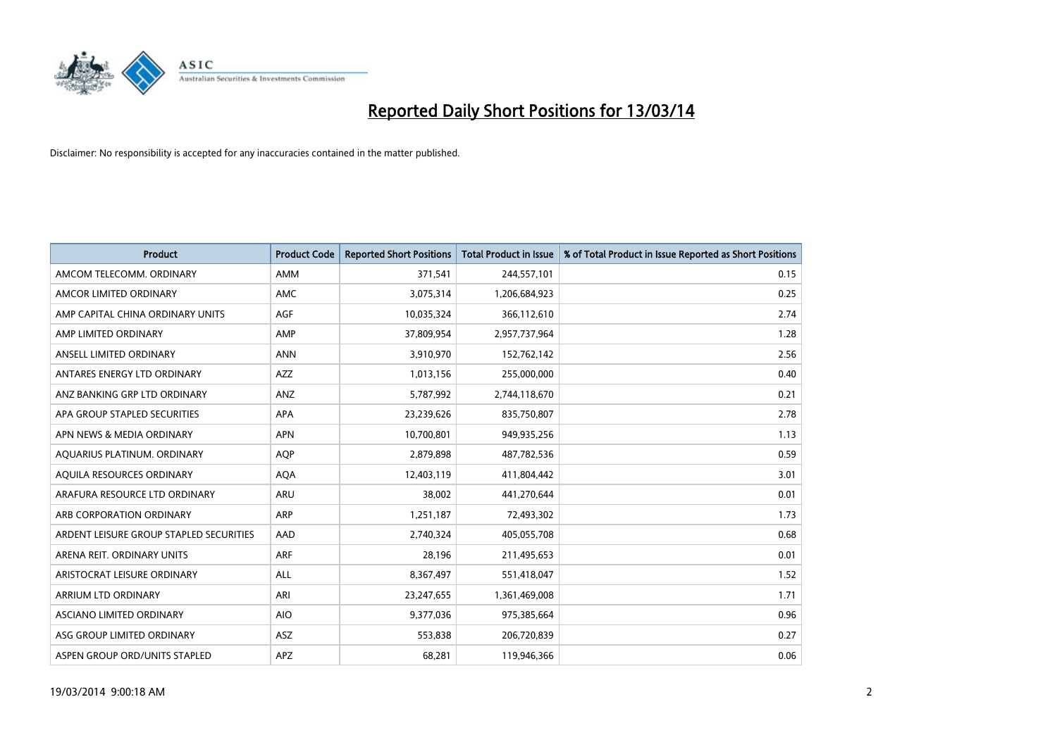

| <b>Product</b>                          | <b>Product Code</b> | <b>Reported Short Positions</b> | <b>Total Product in Issue</b> | % of Total Product in Issue Reported as Short Positions |
|-----------------------------------------|---------------------|---------------------------------|-------------------------------|---------------------------------------------------------|
| AMCOM TELECOMM, ORDINARY                | <b>AMM</b>          | 371,541                         | 244,557,101                   | 0.15                                                    |
| AMCOR LIMITED ORDINARY                  | <b>AMC</b>          | 3,075,314                       | 1,206,684,923                 | 0.25                                                    |
| AMP CAPITAL CHINA ORDINARY UNITS        | <b>AGF</b>          | 10,035,324                      | 366,112,610                   | 2.74                                                    |
| AMP LIMITED ORDINARY                    | AMP                 | 37,809,954                      | 2,957,737,964                 | 1.28                                                    |
| ANSELL LIMITED ORDINARY                 | <b>ANN</b>          | 3,910,970                       | 152,762,142                   | 2.56                                                    |
| ANTARES ENERGY LTD ORDINARY             | <b>AZZ</b>          | 1,013,156                       | 255,000,000                   | 0.40                                                    |
| ANZ BANKING GRP LTD ORDINARY            | <b>ANZ</b>          | 5,787,992                       | 2,744,118,670                 | 0.21                                                    |
| APA GROUP STAPLED SECURITIES            | <b>APA</b>          | 23,239,626                      | 835,750,807                   | 2.78                                                    |
| APN NEWS & MEDIA ORDINARY               | <b>APN</b>          | 10,700,801                      | 949,935,256                   | 1.13                                                    |
| AQUARIUS PLATINUM. ORDINARY             | <b>AOP</b>          | 2,879,898                       | 487,782,536                   | 0.59                                                    |
| AQUILA RESOURCES ORDINARY               | <b>AQA</b>          | 12,403,119                      | 411,804,442                   | 3.01                                                    |
| ARAFURA RESOURCE LTD ORDINARY           | <b>ARU</b>          | 38,002                          | 441,270,644                   | 0.01                                                    |
| ARB CORPORATION ORDINARY                | <b>ARP</b>          | 1,251,187                       | 72,493,302                    | 1.73                                                    |
| ARDENT LEISURE GROUP STAPLED SECURITIES | AAD                 | 2,740,324                       | 405,055,708                   | 0.68                                                    |
| ARENA REIT. ORDINARY UNITS              | <b>ARF</b>          | 28,196                          | 211,495,653                   | 0.01                                                    |
| ARISTOCRAT LEISURE ORDINARY             | ALL                 | 8,367,497                       | 551,418,047                   | 1.52                                                    |
| ARRIUM LTD ORDINARY                     | ARI                 | 23,247,655                      | 1,361,469,008                 | 1.71                                                    |
| ASCIANO LIMITED ORDINARY                | <b>AIO</b>          | 9,377,036                       | 975,385,664                   | 0.96                                                    |
| ASG GROUP LIMITED ORDINARY              | <b>ASZ</b>          | 553,838                         | 206,720,839                   | 0.27                                                    |
| ASPEN GROUP ORD/UNITS STAPLED           | APZ                 | 68,281                          | 119,946,366                   | 0.06                                                    |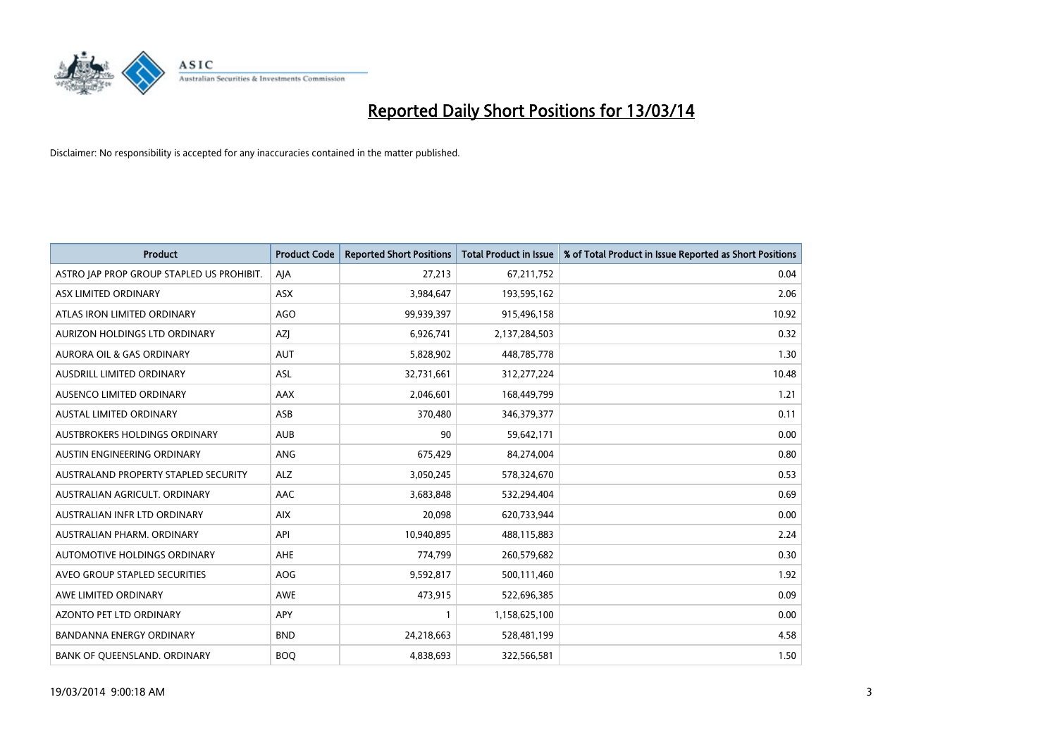

| <b>Product</b>                            | <b>Product Code</b> | <b>Reported Short Positions</b> | <b>Total Product in Issue</b> | % of Total Product in Issue Reported as Short Positions |
|-------------------------------------------|---------------------|---------------------------------|-------------------------------|---------------------------------------------------------|
| ASTRO JAP PROP GROUP STAPLED US PROHIBIT. | AIA                 | 27,213                          | 67,211,752                    | 0.04                                                    |
| ASX LIMITED ORDINARY                      | ASX                 | 3,984,647                       | 193,595,162                   | 2.06                                                    |
| ATLAS IRON LIMITED ORDINARY               | <b>AGO</b>          | 99,939,397                      | 915,496,158                   | 10.92                                                   |
| AURIZON HOLDINGS LTD ORDINARY             | AZJ                 | 6,926,741                       | 2,137,284,503                 | 0.32                                                    |
| <b>AURORA OIL &amp; GAS ORDINARY</b>      | <b>AUT</b>          | 5,828,902                       | 448,785,778                   | 1.30                                                    |
| <b>AUSDRILL LIMITED ORDINARY</b>          | <b>ASL</b>          | 32,731,661                      | 312,277,224                   | 10.48                                                   |
| AUSENCO LIMITED ORDINARY                  | AAX                 | 2,046,601                       | 168,449,799                   | 1.21                                                    |
| <b>AUSTAL LIMITED ORDINARY</b>            | ASB                 | 370,480                         | 346,379,377                   | 0.11                                                    |
| AUSTBROKERS HOLDINGS ORDINARY             | <b>AUB</b>          | 90                              | 59,642,171                    | 0.00                                                    |
| AUSTIN ENGINEERING ORDINARY               | ANG                 | 675,429                         | 84,274,004                    | 0.80                                                    |
| AUSTRALAND PROPERTY STAPLED SECURITY      | <b>ALZ</b>          | 3,050,245                       | 578,324,670                   | 0.53                                                    |
| AUSTRALIAN AGRICULT. ORDINARY             | AAC                 | 3,683,848                       | 532,294,404                   | 0.69                                                    |
| AUSTRALIAN INFR LTD ORDINARY              | <b>AIX</b>          | 20,098                          | 620,733,944                   | 0.00                                                    |
| AUSTRALIAN PHARM, ORDINARY                | API                 | 10,940,895                      | 488,115,883                   | 2.24                                                    |
| AUTOMOTIVE HOLDINGS ORDINARY              | <b>AHE</b>          | 774,799                         | 260,579,682                   | 0.30                                                    |
| AVEO GROUP STAPLED SECURITIES             | <b>AOG</b>          | 9,592,817                       | 500,111,460                   | 1.92                                                    |
| AWE LIMITED ORDINARY                      | <b>AWE</b>          | 473,915                         | 522,696,385                   | 0.09                                                    |
| AZONTO PET LTD ORDINARY                   | <b>APY</b>          |                                 | 1,158,625,100                 | 0.00                                                    |
| <b>BANDANNA ENERGY ORDINARY</b>           | <b>BND</b>          | 24,218,663                      | 528,481,199                   | 4.58                                                    |
| BANK OF QUEENSLAND. ORDINARY              | <b>BOQ</b>          | 4,838,693                       | 322,566,581                   | 1.50                                                    |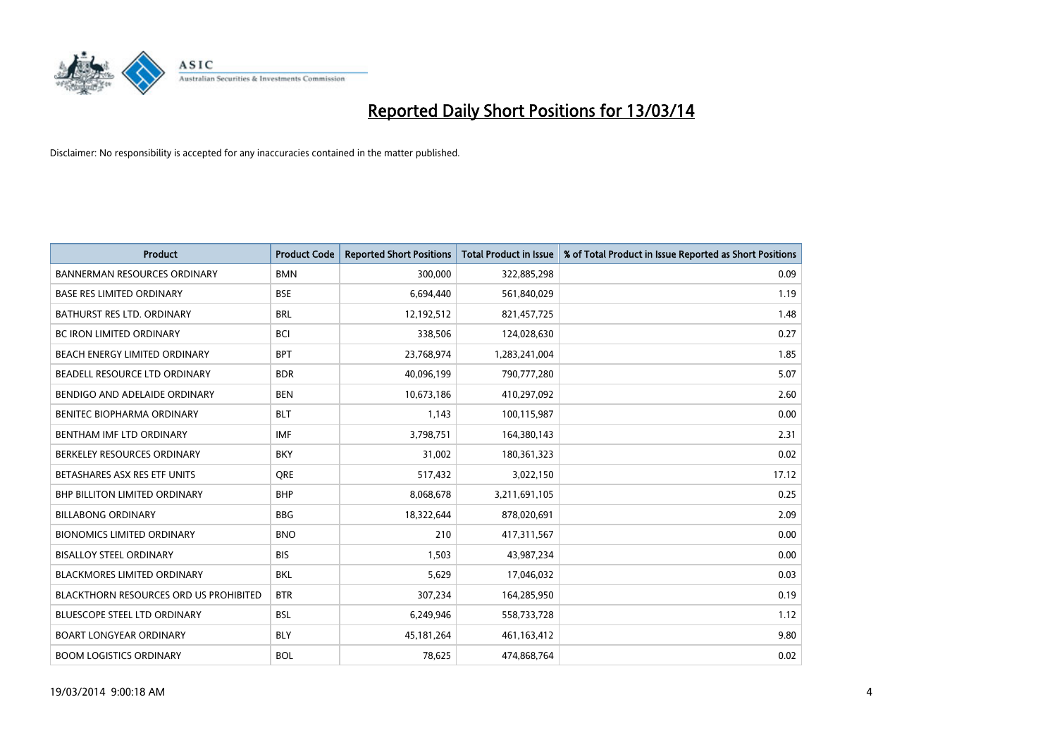

| <b>Product</b>                         | <b>Product Code</b> | <b>Reported Short Positions</b> | <b>Total Product in Issue</b> | % of Total Product in Issue Reported as Short Positions |
|----------------------------------------|---------------------|---------------------------------|-------------------------------|---------------------------------------------------------|
| <b>BANNERMAN RESOURCES ORDINARY</b>    | <b>BMN</b>          | 300,000                         | 322,885,298                   | 0.09                                                    |
| <b>BASE RES LIMITED ORDINARY</b>       | <b>BSE</b>          | 6,694,440                       | 561,840,029                   | 1.19                                                    |
| BATHURST RES LTD. ORDINARY             | <b>BRL</b>          | 12,192,512                      | 821,457,725                   | 1.48                                                    |
| BC IRON LIMITED ORDINARY               | <b>BCI</b>          | 338,506                         | 124,028,630                   | 0.27                                                    |
| BEACH ENERGY LIMITED ORDINARY          | <b>BPT</b>          | 23,768,974                      | 1,283,241,004                 | 1.85                                                    |
| BEADELL RESOURCE LTD ORDINARY          | <b>BDR</b>          | 40,096,199                      | 790,777,280                   | 5.07                                                    |
| BENDIGO AND ADELAIDE ORDINARY          | <b>BEN</b>          | 10,673,186                      | 410,297,092                   | 2.60                                                    |
| <b>BENITEC BIOPHARMA ORDINARY</b>      | <b>BLT</b>          | 1,143                           | 100,115,987                   | 0.00                                                    |
| BENTHAM IMF LTD ORDINARY               | <b>IMF</b>          | 3,798,751                       | 164,380,143                   | 2.31                                                    |
| BERKELEY RESOURCES ORDINARY            | <b>BKY</b>          | 31,002                          | 180,361,323                   | 0.02                                                    |
| BETASHARES ASX RES ETF UNITS           | <b>ORE</b>          | 517,432                         | 3,022,150                     | 17.12                                                   |
| <b>BHP BILLITON LIMITED ORDINARY</b>   | <b>BHP</b>          | 8,068,678                       | 3,211,691,105                 | 0.25                                                    |
| <b>BILLABONG ORDINARY</b>              | <b>BBG</b>          | 18,322,644                      | 878,020,691                   | 2.09                                                    |
| <b>BIONOMICS LIMITED ORDINARY</b>      | <b>BNO</b>          | 210                             | 417,311,567                   | 0.00                                                    |
| <b>BISALLOY STEEL ORDINARY</b>         | <b>BIS</b>          | 1.503                           | 43,987,234                    | 0.00                                                    |
| <b>BLACKMORES LIMITED ORDINARY</b>     | <b>BKL</b>          | 5,629                           | 17,046,032                    | 0.03                                                    |
| BLACKTHORN RESOURCES ORD US PROHIBITED | <b>BTR</b>          | 307,234                         | 164,285,950                   | 0.19                                                    |
| BLUESCOPE STEEL LTD ORDINARY           | <b>BSL</b>          | 6,249,946                       | 558,733,728                   | 1.12                                                    |
| <b>BOART LONGYEAR ORDINARY</b>         | <b>BLY</b>          | 45, 181, 264                    | 461,163,412                   | 9.80                                                    |
| <b>BOOM LOGISTICS ORDINARY</b>         | <b>BOL</b>          | 78.625                          | 474.868.764                   | 0.02                                                    |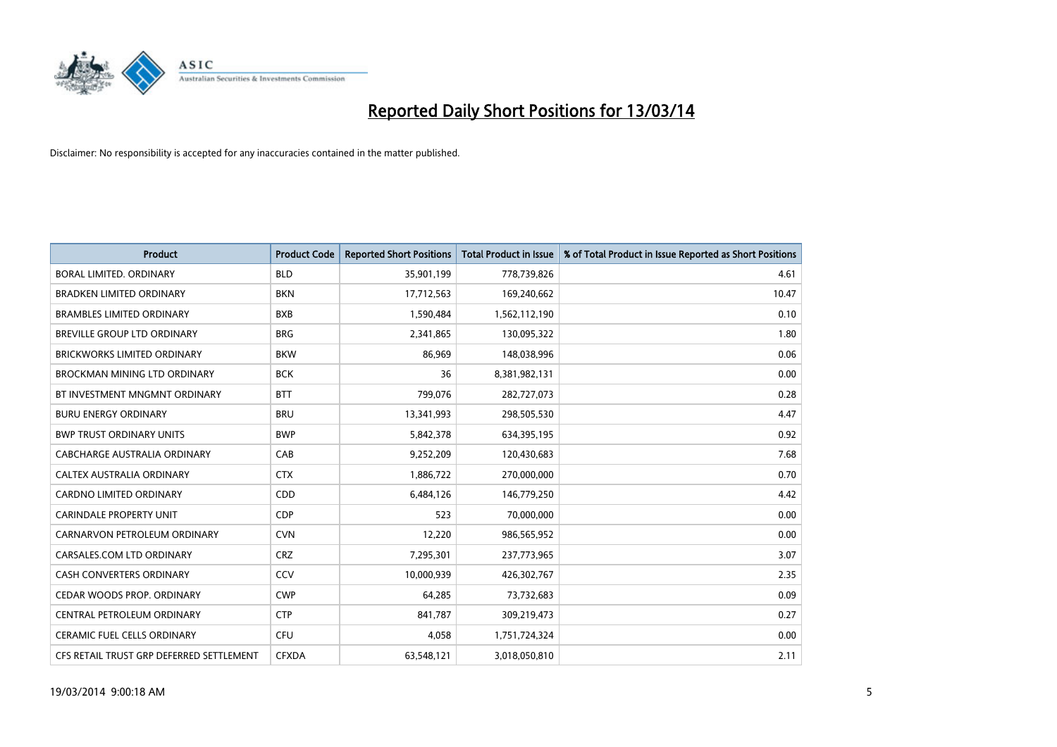

| <b>Product</b>                           | <b>Product Code</b> | <b>Reported Short Positions</b> | <b>Total Product in Issue</b> | % of Total Product in Issue Reported as Short Positions |
|------------------------------------------|---------------------|---------------------------------|-------------------------------|---------------------------------------------------------|
| <b>BORAL LIMITED, ORDINARY</b>           | <b>BLD</b>          | 35,901,199                      | 778,739,826                   | 4.61                                                    |
| <b>BRADKEN LIMITED ORDINARY</b>          | <b>BKN</b>          | 17,712,563                      | 169,240,662                   | 10.47                                                   |
| <b>BRAMBLES LIMITED ORDINARY</b>         | <b>BXB</b>          | 1,590,484                       | 1,562,112,190                 | 0.10                                                    |
| BREVILLE GROUP LTD ORDINARY              | <b>BRG</b>          | 2,341,865                       | 130,095,322                   | 1.80                                                    |
| <b>BRICKWORKS LIMITED ORDINARY</b>       | <b>BKW</b>          | 86,969                          | 148,038,996                   | 0.06                                                    |
| BROCKMAN MINING LTD ORDINARY             | <b>BCK</b>          | 36                              | 8,381,982,131                 | 0.00                                                    |
| BT INVESTMENT MNGMNT ORDINARY            | <b>BTT</b>          | 799.076                         | 282,727,073                   | 0.28                                                    |
| <b>BURU ENERGY ORDINARY</b>              | <b>BRU</b>          | 13,341,993                      | 298,505,530                   | 4.47                                                    |
| <b>BWP TRUST ORDINARY UNITS</b>          | <b>BWP</b>          | 5,842,378                       | 634,395,195                   | 0.92                                                    |
| CABCHARGE AUSTRALIA ORDINARY             | CAB                 | 9,252,209                       | 120,430,683                   | 7.68                                                    |
| <b>CALTEX AUSTRALIA ORDINARY</b>         | <b>CTX</b>          | 1,886,722                       | 270,000,000                   | 0.70                                                    |
| <b>CARDNO LIMITED ORDINARY</b>           | <b>CDD</b>          | 6,484,126                       | 146,779,250                   | 4.42                                                    |
| <b>CARINDALE PROPERTY UNIT</b>           | <b>CDP</b>          | 523                             | 70,000,000                    | 0.00                                                    |
| CARNARVON PETROLEUM ORDINARY             | <b>CVN</b>          | 12,220                          | 986,565,952                   | 0.00                                                    |
| CARSALES.COM LTD ORDINARY                | <b>CRZ</b>          | 7,295,301                       | 237,773,965                   | 3.07                                                    |
| CASH CONVERTERS ORDINARY                 | CCV                 | 10,000,939                      | 426,302,767                   | 2.35                                                    |
| CEDAR WOODS PROP. ORDINARY               | <b>CWP</b>          | 64,285                          | 73,732,683                    | 0.09                                                    |
| CENTRAL PETROLEUM ORDINARY               | <b>CTP</b>          | 841,787                         | 309,219,473                   | 0.27                                                    |
| <b>CERAMIC FUEL CELLS ORDINARY</b>       | <b>CFU</b>          | 4,058                           | 1,751,724,324                 | 0.00                                                    |
| CFS RETAIL TRUST GRP DEFERRED SETTLEMENT | <b>CFXDA</b>        | 63,548,121                      | 3,018,050,810                 | 2.11                                                    |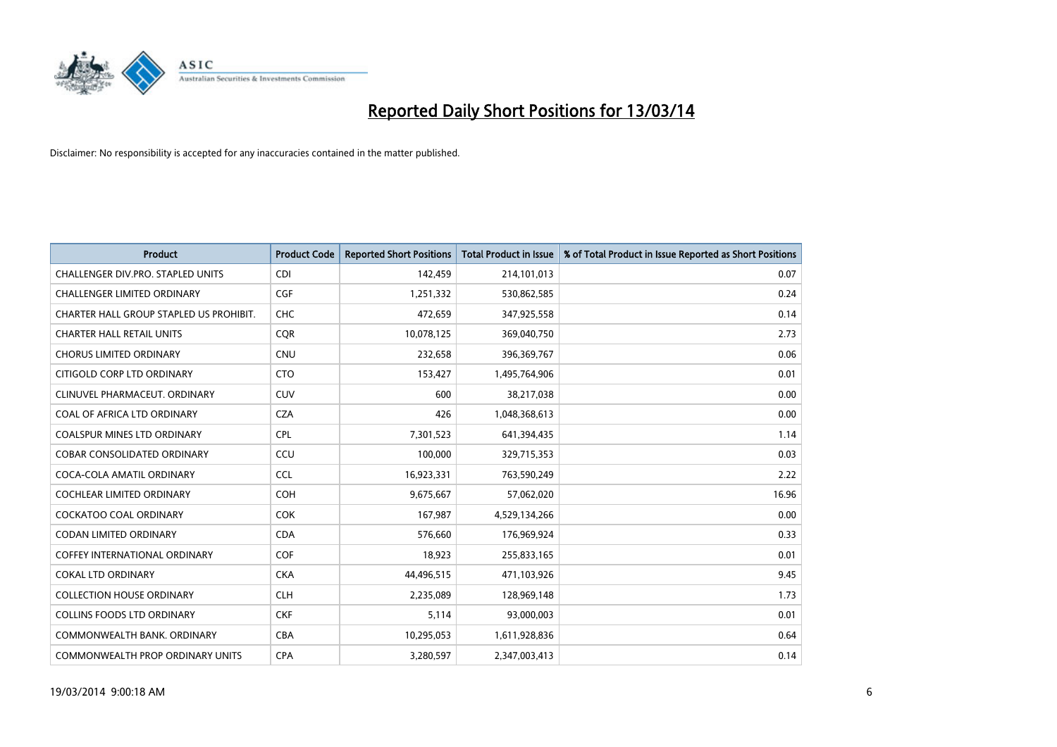

| <b>Product</b>                          | <b>Product Code</b> | <b>Reported Short Positions</b> | <b>Total Product in Issue</b> | % of Total Product in Issue Reported as Short Positions |
|-----------------------------------------|---------------------|---------------------------------|-------------------------------|---------------------------------------------------------|
| CHALLENGER DIV.PRO. STAPLED UNITS       | <b>CDI</b>          | 142,459                         | 214,101,013                   | 0.07                                                    |
| CHALLENGER LIMITED ORDINARY             | <b>CGF</b>          | 1,251,332                       | 530,862,585                   | 0.24                                                    |
| CHARTER HALL GROUP STAPLED US PROHIBIT. | <b>CHC</b>          | 472,659                         | 347,925,558                   | 0.14                                                    |
| <b>CHARTER HALL RETAIL UNITS</b>        | <b>CQR</b>          | 10,078,125                      | 369,040,750                   | 2.73                                                    |
| <b>CHORUS LIMITED ORDINARY</b>          | <b>CNU</b>          | 232,658                         | 396,369,767                   | 0.06                                                    |
| CITIGOLD CORP LTD ORDINARY              | <b>CTO</b>          | 153,427                         | 1,495,764,906                 | 0.01                                                    |
| CLINUVEL PHARMACEUT. ORDINARY           | <b>CUV</b>          | 600                             | 38,217,038                    | 0.00                                                    |
| COAL OF AFRICA LTD ORDINARY             | <b>CZA</b>          | 426                             | 1,048,368,613                 | 0.00                                                    |
| COALSPUR MINES LTD ORDINARY             | <b>CPL</b>          | 7,301,523                       | 641,394,435                   | 1.14                                                    |
| <b>COBAR CONSOLIDATED ORDINARY</b>      | CCU                 | 100,000                         | 329,715,353                   | 0.03                                                    |
| COCA-COLA AMATIL ORDINARY               | <b>CCL</b>          | 16,923,331                      | 763,590,249                   | 2.22                                                    |
| COCHLEAR LIMITED ORDINARY               | <b>COH</b>          | 9,675,667                       | 57,062,020                    | 16.96                                                   |
| <b>COCKATOO COAL ORDINARY</b>           | COK                 | 167,987                         | 4,529,134,266                 | 0.00                                                    |
| <b>CODAN LIMITED ORDINARY</b>           | <b>CDA</b>          | 576,660                         | 176,969,924                   | 0.33                                                    |
| COFFEY INTERNATIONAL ORDINARY           | <b>COF</b>          | 18,923                          | 255,833,165                   | 0.01                                                    |
| <b>COKAL LTD ORDINARY</b>               | <b>CKA</b>          | 44,496,515                      | 471,103,926                   | 9.45                                                    |
| <b>COLLECTION HOUSE ORDINARY</b>        | <b>CLH</b>          | 2,235,089                       | 128,969,148                   | 1.73                                                    |
| <b>COLLINS FOODS LTD ORDINARY</b>       | <b>CKF</b>          | 5,114                           | 93,000,003                    | 0.01                                                    |
| COMMONWEALTH BANK, ORDINARY             | <b>CBA</b>          | 10,295,053                      | 1,611,928,836                 | 0.64                                                    |
| COMMONWEALTH PROP ORDINARY UNITS        | <b>CPA</b>          | 3,280,597                       | 2,347,003,413                 | 0.14                                                    |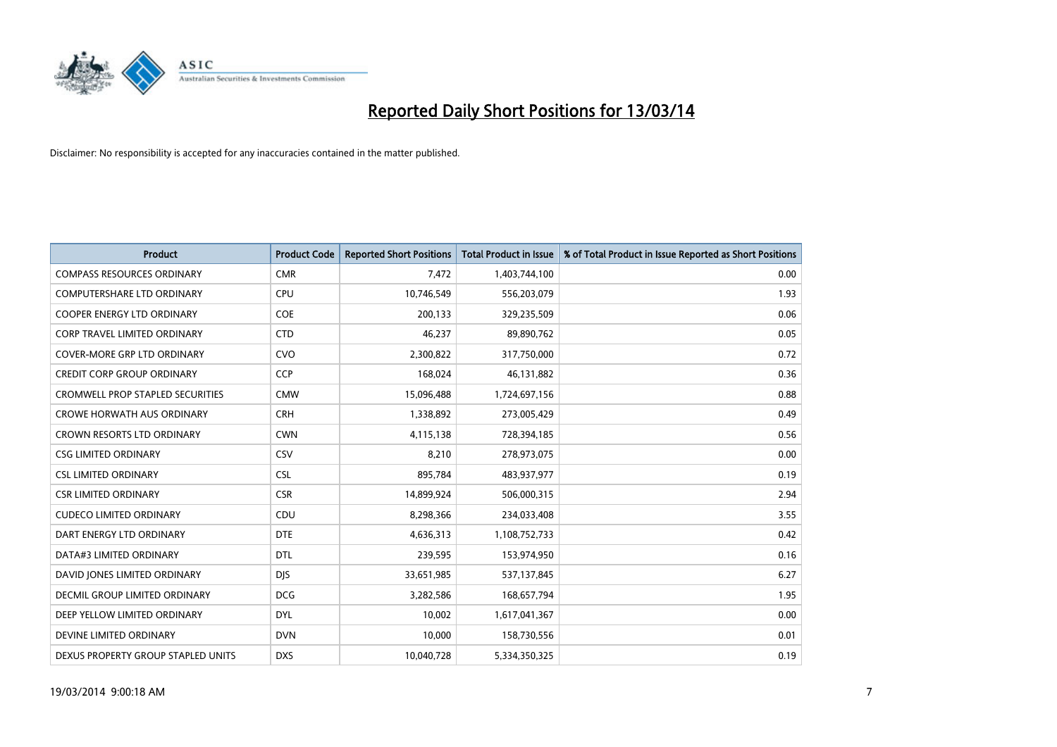

| <b>Product</b>                          | <b>Product Code</b> | <b>Reported Short Positions</b> | <b>Total Product in Issue</b> | % of Total Product in Issue Reported as Short Positions |
|-----------------------------------------|---------------------|---------------------------------|-------------------------------|---------------------------------------------------------|
| <b>COMPASS RESOURCES ORDINARY</b>       | <b>CMR</b>          | 7,472                           | 1,403,744,100                 | 0.00                                                    |
| COMPUTERSHARE LTD ORDINARY              | <b>CPU</b>          | 10,746,549                      | 556,203,079                   | 1.93                                                    |
| <b>COOPER ENERGY LTD ORDINARY</b>       | <b>COE</b>          | 200,133                         | 329,235,509                   | 0.06                                                    |
| CORP TRAVEL LIMITED ORDINARY            | <b>CTD</b>          | 46,237                          | 89,890,762                    | 0.05                                                    |
| <b>COVER-MORE GRP LTD ORDINARY</b>      | <b>CVO</b>          | 2,300,822                       | 317,750,000                   | 0.72                                                    |
| <b>CREDIT CORP GROUP ORDINARY</b>       | <b>CCP</b>          | 168,024                         | 46,131,882                    | 0.36                                                    |
| <b>CROMWELL PROP STAPLED SECURITIES</b> | <b>CMW</b>          | 15,096,488                      | 1,724,697,156                 | 0.88                                                    |
| <b>CROWE HORWATH AUS ORDINARY</b>       | <b>CRH</b>          | 1,338,892                       | 273,005,429                   | 0.49                                                    |
| CROWN RESORTS LTD ORDINARY              | <b>CWN</b>          | 4,115,138                       | 728,394,185                   | 0.56                                                    |
| <b>CSG LIMITED ORDINARY</b>             | CSV                 | 8,210                           | 278,973,075                   | 0.00                                                    |
| <b>CSL LIMITED ORDINARY</b>             | <b>CSL</b>          | 895,784                         | 483,937,977                   | 0.19                                                    |
| <b>CSR LIMITED ORDINARY</b>             | <b>CSR</b>          | 14,899,924                      | 506,000,315                   | 2.94                                                    |
| <b>CUDECO LIMITED ORDINARY</b>          | CDU                 | 8,298,366                       | 234,033,408                   | 3.55                                                    |
| DART ENERGY LTD ORDINARY                | <b>DTE</b>          | 4,636,313                       | 1,108,752,733                 | 0.42                                                    |
| DATA#3 LIMITED ORDINARY                 | <b>DTL</b>          | 239,595                         | 153,974,950                   | 0.16                                                    |
| DAVID JONES LIMITED ORDINARY            | <b>DIS</b>          | 33,651,985                      | 537,137,845                   | 6.27                                                    |
| <b>DECMIL GROUP LIMITED ORDINARY</b>    | <b>DCG</b>          | 3,282,586                       | 168,657,794                   | 1.95                                                    |
| DEEP YELLOW LIMITED ORDINARY            | <b>DYL</b>          | 10,002                          | 1,617,041,367                 | 0.00                                                    |
| DEVINE LIMITED ORDINARY                 | <b>DVN</b>          | 10,000                          | 158,730,556                   | 0.01                                                    |
| DEXUS PROPERTY GROUP STAPLED UNITS      | <b>DXS</b>          | 10,040,728                      | 5,334,350,325                 | 0.19                                                    |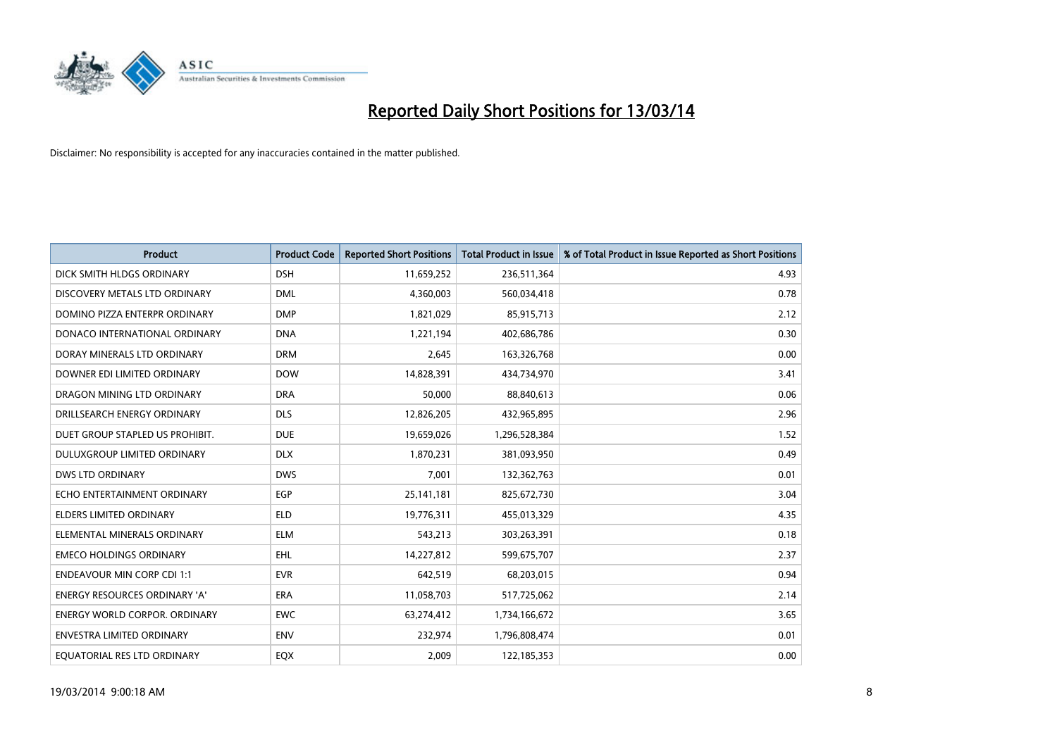

| <b>Product</b>                       | <b>Product Code</b> | <b>Reported Short Positions</b> | <b>Total Product in Issue</b> | % of Total Product in Issue Reported as Short Positions |
|--------------------------------------|---------------------|---------------------------------|-------------------------------|---------------------------------------------------------|
| DICK SMITH HLDGS ORDINARY            | <b>DSH</b>          | 11,659,252                      | 236,511,364                   | 4.93                                                    |
| DISCOVERY METALS LTD ORDINARY        | <b>DML</b>          | 4,360,003                       | 560,034,418                   | 0.78                                                    |
| DOMINO PIZZA ENTERPR ORDINARY        | <b>DMP</b>          | 1,821,029                       | 85,915,713                    | 2.12                                                    |
| DONACO INTERNATIONAL ORDINARY        | <b>DNA</b>          | 1,221,194                       | 402,686,786                   | 0.30                                                    |
| DORAY MINERALS LTD ORDINARY          | <b>DRM</b>          | 2,645                           | 163,326,768                   | 0.00                                                    |
| DOWNER EDI LIMITED ORDINARY          | <b>DOW</b>          | 14,828,391                      | 434,734,970                   | 3.41                                                    |
| DRAGON MINING LTD ORDINARY           | <b>DRA</b>          | 50.000                          | 88,840,613                    | 0.06                                                    |
| DRILLSEARCH ENERGY ORDINARY          | <b>DLS</b>          | 12,826,205                      | 432,965,895                   | 2.96                                                    |
| DUET GROUP STAPLED US PROHIBIT.      | <b>DUE</b>          | 19,659,026                      | 1,296,528,384                 | 1.52                                                    |
| DULUXGROUP LIMITED ORDINARY          | <b>DLX</b>          | 1,870,231                       | 381,093,950                   | 0.49                                                    |
| <b>DWS LTD ORDINARY</b>              | <b>DWS</b>          | 7,001                           | 132,362,763                   | 0.01                                                    |
| ECHO ENTERTAINMENT ORDINARY          | <b>EGP</b>          | 25,141,181                      | 825,672,730                   | 3.04                                                    |
| <b>ELDERS LIMITED ORDINARY</b>       | <b>ELD</b>          | 19,776,311                      | 455,013,329                   | 4.35                                                    |
| ELEMENTAL MINERALS ORDINARY          | <b>ELM</b>          | 543.213                         | 303,263,391                   | 0.18                                                    |
| <b>EMECO HOLDINGS ORDINARY</b>       | <b>EHL</b>          | 14,227,812                      | 599,675,707                   | 2.37                                                    |
| <b>ENDEAVOUR MIN CORP CDI 1:1</b>    | <b>EVR</b>          | 642,519                         | 68,203,015                    | 0.94                                                    |
| <b>ENERGY RESOURCES ORDINARY 'A'</b> | <b>ERA</b>          | 11,058,703                      | 517,725,062                   | 2.14                                                    |
| ENERGY WORLD CORPOR. ORDINARY        | <b>EWC</b>          | 63,274,412                      | 1,734,166,672                 | 3.65                                                    |
| <b>ENVESTRA LIMITED ORDINARY</b>     | <b>ENV</b>          | 232,974                         | 1,796,808,474                 | 0.01                                                    |
| EQUATORIAL RES LTD ORDINARY          | <b>EQX</b>          | 2.009                           | 122,185,353                   | 0.00                                                    |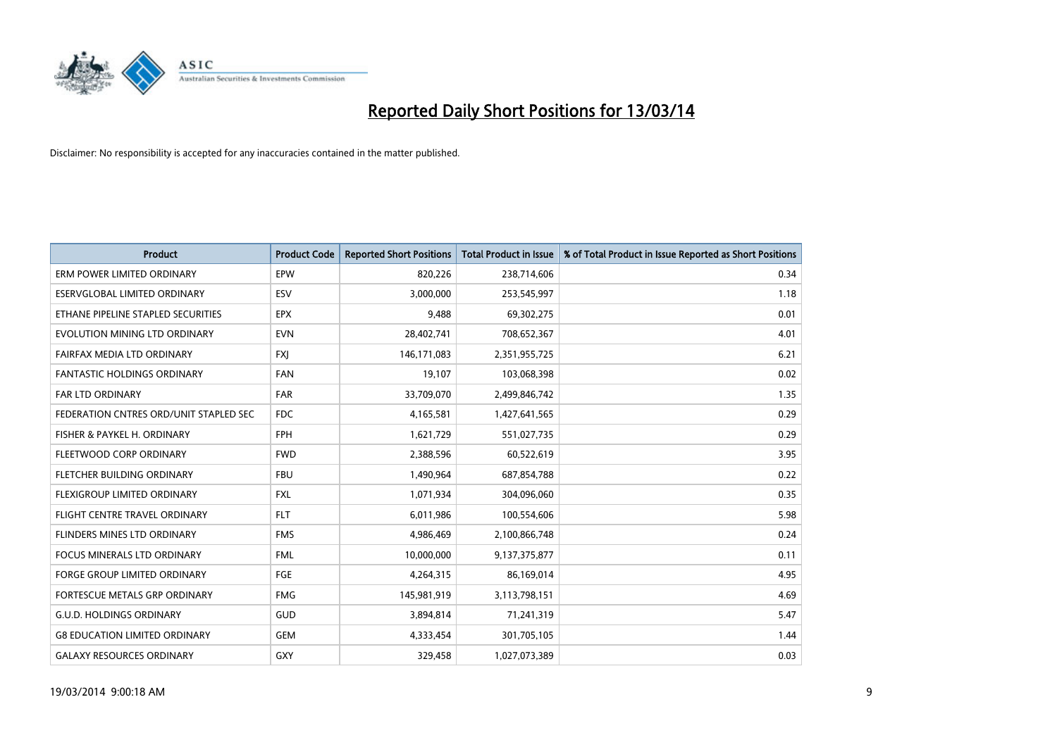

| <b>Product</b>                         | <b>Product Code</b> | <b>Reported Short Positions</b> | <b>Total Product in Issue</b> | % of Total Product in Issue Reported as Short Positions |
|----------------------------------------|---------------------|---------------------------------|-------------------------------|---------------------------------------------------------|
| ERM POWER LIMITED ORDINARY             | <b>EPW</b>          | 820,226                         | 238,714,606                   | 0.34                                                    |
| ESERVGLOBAL LIMITED ORDINARY           | ESV                 | 3,000,000                       | 253,545,997                   | 1.18                                                    |
| ETHANE PIPELINE STAPLED SECURITIES     | <b>EPX</b>          | 9,488                           | 69,302,275                    | 0.01                                                    |
| EVOLUTION MINING LTD ORDINARY          | <b>EVN</b>          | 28,402,741                      | 708,652,367                   | 4.01                                                    |
| FAIRFAX MEDIA LTD ORDINARY             | <b>FXI</b>          | 146,171,083                     | 2,351,955,725                 | 6.21                                                    |
| <b>FANTASTIC HOLDINGS ORDINARY</b>     | <b>FAN</b>          | 19,107                          | 103,068,398                   | 0.02                                                    |
| <b>FAR LTD ORDINARY</b>                | <b>FAR</b>          | 33,709,070                      | 2,499,846,742                 | 1.35                                                    |
| FEDERATION CNTRES ORD/UNIT STAPLED SEC | <b>FDC</b>          | 4,165,581                       | 1,427,641,565                 | 0.29                                                    |
| FISHER & PAYKEL H. ORDINARY            | <b>FPH</b>          | 1,621,729                       | 551,027,735                   | 0.29                                                    |
| FLEETWOOD CORP ORDINARY                | <b>FWD</b>          | 2,388,596                       | 60,522,619                    | 3.95                                                    |
| <b>FLETCHER BUILDING ORDINARY</b>      | <b>FBU</b>          | 1,490,964                       | 687,854,788                   | 0.22                                                    |
| <b>FLEXIGROUP LIMITED ORDINARY</b>     | <b>FXL</b>          | 1,071,934                       | 304,096,060                   | 0.35                                                    |
| FLIGHT CENTRE TRAVEL ORDINARY          | <b>FLT</b>          | 6,011,986                       | 100,554,606                   | 5.98                                                    |
| FLINDERS MINES LTD ORDINARY            | <b>FMS</b>          | 4,986,469                       | 2,100,866,748                 | 0.24                                                    |
| <b>FOCUS MINERALS LTD ORDINARY</b>     | <b>FML</b>          | 10,000,000                      | 9,137,375,877                 | 0.11                                                    |
| FORGE GROUP LIMITED ORDINARY           | FGE                 | 4,264,315                       | 86,169,014                    | 4.95                                                    |
| FORTESCUE METALS GRP ORDINARY          | <b>FMG</b>          | 145,981,919                     | 3,113,798,151                 | 4.69                                                    |
| G.U.D. HOLDINGS ORDINARY               | GUD                 | 3,894,814                       | 71,241,319                    | 5.47                                                    |
| <b>G8 EDUCATION LIMITED ORDINARY</b>   | <b>GEM</b>          | 4,333,454                       | 301,705,105                   | 1.44                                                    |
| <b>GALAXY RESOURCES ORDINARY</b>       | <b>GXY</b>          | 329.458                         | 1,027,073,389                 | 0.03                                                    |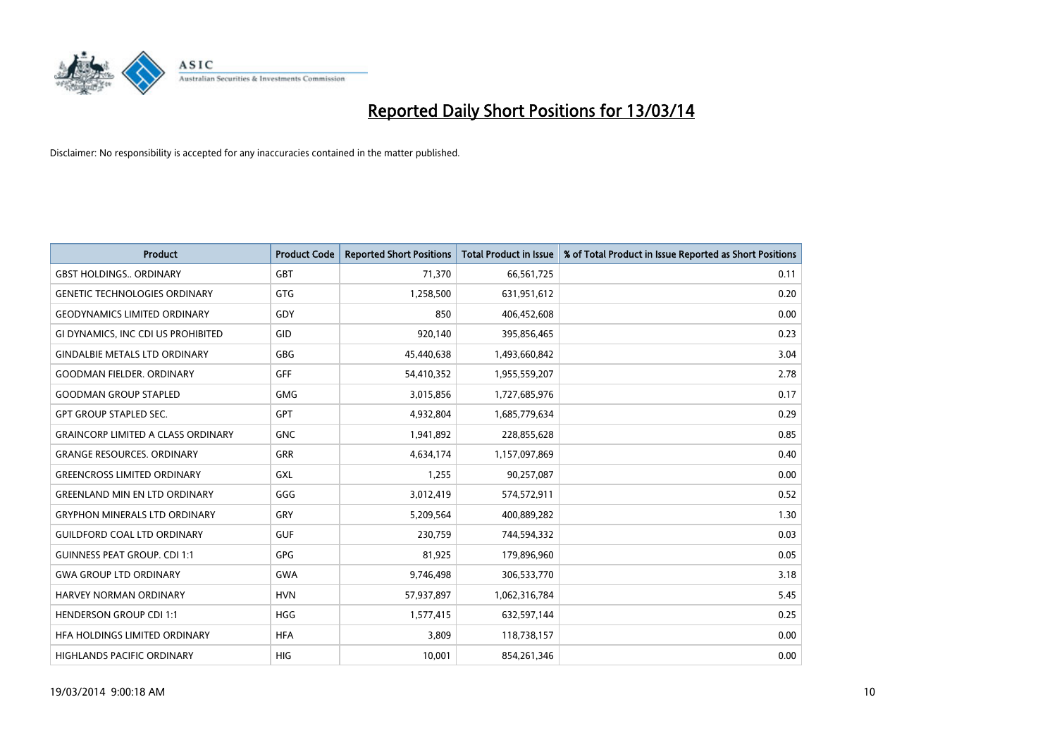

| <b>Product</b>                            | <b>Product Code</b> | <b>Reported Short Positions</b> | <b>Total Product in Issue</b> | % of Total Product in Issue Reported as Short Positions |
|-------------------------------------------|---------------------|---------------------------------|-------------------------------|---------------------------------------------------------|
| <b>GBST HOLDINGS., ORDINARY</b>           | GBT                 | 71,370                          | 66,561,725                    | 0.11                                                    |
| <b>GENETIC TECHNOLOGIES ORDINARY</b>      | <b>GTG</b>          | 1,258,500                       | 631,951,612                   | 0.20                                                    |
| <b>GEODYNAMICS LIMITED ORDINARY</b>       | GDY                 | 850                             | 406,452,608                   | 0.00                                                    |
| GI DYNAMICS, INC CDI US PROHIBITED        | GID                 | 920,140                         | 395,856,465                   | 0.23                                                    |
| <b>GINDALBIE METALS LTD ORDINARY</b>      | GBG                 | 45,440,638                      | 1,493,660,842                 | 3.04                                                    |
| <b>GOODMAN FIELDER, ORDINARY</b>          | <b>GFF</b>          | 54,410,352                      | 1,955,559,207                 | 2.78                                                    |
| <b>GOODMAN GROUP STAPLED</b>              | <b>GMG</b>          | 3,015,856                       | 1,727,685,976                 | 0.17                                                    |
| <b>GPT GROUP STAPLED SEC.</b>             | <b>GPT</b>          | 4,932,804                       | 1,685,779,634                 | 0.29                                                    |
| <b>GRAINCORP LIMITED A CLASS ORDINARY</b> | <b>GNC</b>          | 1,941,892                       | 228,855,628                   | 0.85                                                    |
| <b>GRANGE RESOURCES, ORDINARY</b>         | <b>GRR</b>          | 4,634,174                       | 1,157,097,869                 | 0.40                                                    |
| <b>GREENCROSS LIMITED ORDINARY</b>        | GXL                 | 1,255                           | 90,257,087                    | 0.00                                                    |
| <b>GREENLAND MIN EN LTD ORDINARY</b>      | GGG                 | 3,012,419                       | 574,572,911                   | 0.52                                                    |
| <b>GRYPHON MINERALS LTD ORDINARY</b>      | GRY                 | 5,209,564                       | 400,889,282                   | 1.30                                                    |
| <b>GUILDFORD COAL LTD ORDINARY</b>        | <b>GUF</b>          | 230,759                         | 744,594,332                   | 0.03                                                    |
| <b>GUINNESS PEAT GROUP. CDI 1:1</b>       | <b>GPG</b>          | 81,925                          | 179,896,960                   | 0.05                                                    |
| <b>GWA GROUP LTD ORDINARY</b>             | <b>GWA</b>          | 9,746,498                       | 306,533,770                   | 3.18                                                    |
| HARVEY NORMAN ORDINARY                    | <b>HVN</b>          | 57,937,897                      | 1,062,316,784                 | 5.45                                                    |
| <b>HENDERSON GROUP CDI 1:1</b>            | <b>HGG</b>          | 1,577,415                       | 632,597,144                   | 0.25                                                    |
| HFA HOLDINGS LIMITED ORDINARY             | <b>HFA</b>          | 3.809                           | 118,738,157                   | 0.00                                                    |
| HIGHLANDS PACIFIC ORDINARY                | <b>HIG</b>          | 10.001                          | 854,261,346                   | 0.00                                                    |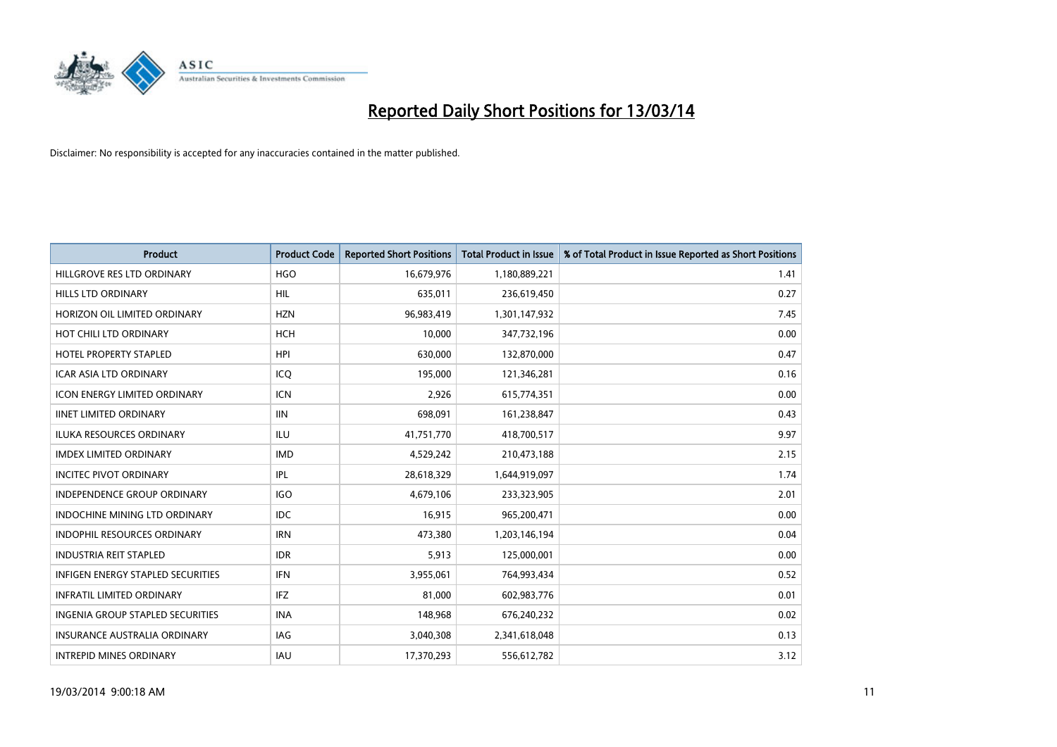

| <b>Product</b>                           | <b>Product Code</b> | <b>Reported Short Positions</b> | <b>Total Product in Issue</b> | % of Total Product in Issue Reported as Short Positions |
|------------------------------------------|---------------------|---------------------------------|-------------------------------|---------------------------------------------------------|
| HILLGROVE RES LTD ORDINARY               | <b>HGO</b>          | 16,679,976                      | 1,180,889,221                 | 1.41                                                    |
| <b>HILLS LTD ORDINARY</b>                | <b>HIL</b>          | 635,011                         | 236,619,450                   | 0.27                                                    |
| HORIZON OIL LIMITED ORDINARY             | <b>HZN</b>          | 96,983,419                      | 1,301,147,932                 | 7.45                                                    |
| HOT CHILI LTD ORDINARY                   | <b>HCH</b>          | 10,000                          | 347,732,196                   | 0.00                                                    |
| HOTEL PROPERTY STAPLED                   | <b>HPI</b>          | 630.000                         | 132,870,000                   | 0.47                                                    |
| <b>ICAR ASIA LTD ORDINARY</b>            | ICQ                 | 195,000                         | 121,346,281                   | 0.16                                                    |
| <b>ICON ENERGY LIMITED ORDINARY</b>      | <b>ICN</b>          | 2.926                           | 615,774,351                   | 0.00                                                    |
| <b>IINET LIMITED ORDINARY</b>            | <b>IIN</b>          | 698,091                         | 161,238,847                   | 0.43                                                    |
| ILUKA RESOURCES ORDINARY                 | ILU                 | 41,751,770                      | 418,700,517                   | 9.97                                                    |
| <b>IMDEX LIMITED ORDINARY</b>            | <b>IMD</b>          | 4,529,242                       | 210,473,188                   | 2.15                                                    |
| <b>INCITEC PIVOT ORDINARY</b>            | <b>IPL</b>          | 28,618,329                      | 1,644,919,097                 | 1.74                                                    |
| <b>INDEPENDENCE GROUP ORDINARY</b>       | <b>IGO</b>          | 4,679,106                       | 233,323,905                   | 2.01                                                    |
| <b>INDOCHINE MINING LTD ORDINARY</b>     | <b>IDC</b>          | 16,915                          | 965,200,471                   | 0.00                                                    |
| <b>INDOPHIL RESOURCES ORDINARY</b>       | <b>IRN</b>          | 473,380                         | 1,203,146,194                 | 0.04                                                    |
| <b>INDUSTRIA REIT STAPLED</b>            | <b>IDR</b>          | 5,913                           | 125,000,001                   | 0.00                                                    |
| <b>INFIGEN ENERGY STAPLED SECURITIES</b> | <b>IFN</b>          | 3,955,061                       | 764,993,434                   | 0.52                                                    |
| <b>INFRATIL LIMITED ORDINARY</b>         | <b>IFZ</b>          | 81,000                          | 602,983,776                   | 0.01                                                    |
| INGENIA GROUP STAPLED SECURITIES         | <b>INA</b>          | 148,968                         | 676,240,232                   | 0.02                                                    |
| <b>INSURANCE AUSTRALIA ORDINARY</b>      | IAG                 | 3,040,308                       | 2,341,618,048                 | 0.13                                                    |
| <b>INTREPID MINES ORDINARY</b>           | <b>IAU</b>          | 17,370,293                      | 556,612,782                   | 3.12                                                    |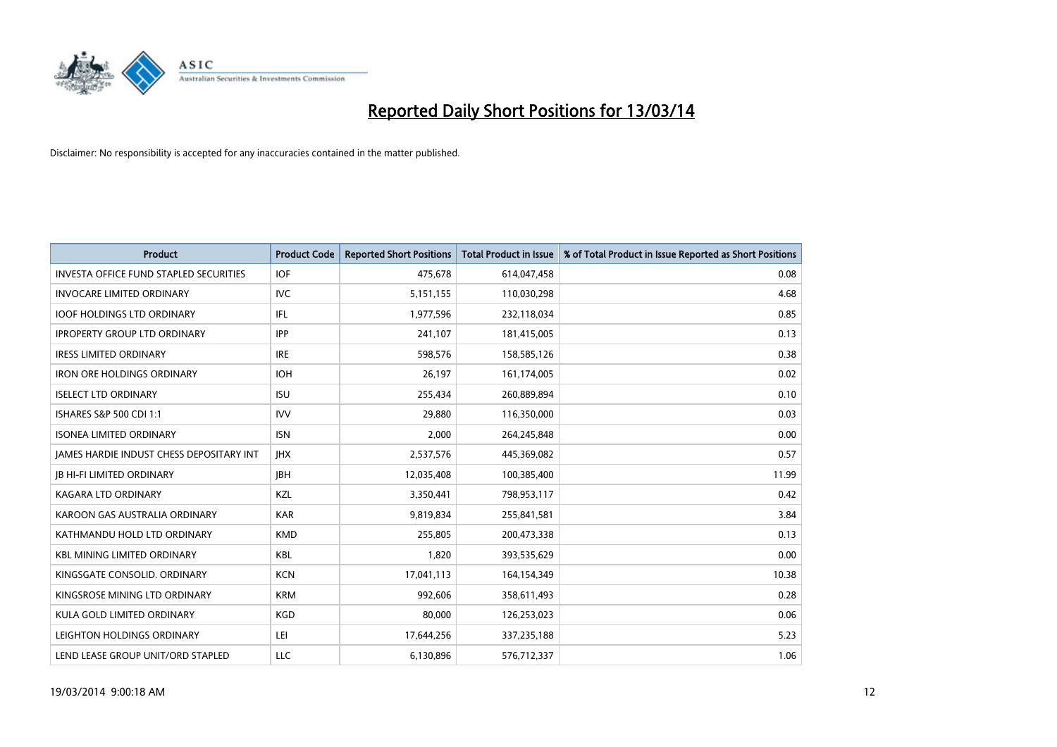

| <b>Product</b>                                  | <b>Product Code</b> | <b>Reported Short Positions</b> | <b>Total Product in Issue</b> | % of Total Product in Issue Reported as Short Positions |
|-------------------------------------------------|---------------------|---------------------------------|-------------------------------|---------------------------------------------------------|
| <b>INVESTA OFFICE FUND STAPLED SECURITIES</b>   | <b>IOF</b>          | 475,678                         | 614,047,458                   | 0.08                                                    |
| <b>INVOCARE LIMITED ORDINARY</b>                | IVC                 | 5,151,155                       | 110,030,298                   | 4.68                                                    |
| <b>IOOF HOLDINGS LTD ORDINARY</b>               | <b>IFL</b>          | 1,977,596                       | 232,118,034                   | 0.85                                                    |
| <b>IPROPERTY GROUP LTD ORDINARY</b>             | <b>IPP</b>          | 241,107                         | 181,415,005                   | 0.13                                                    |
| <b>IRESS LIMITED ORDINARY</b>                   | <b>IRE</b>          | 598,576                         | 158,585,126                   | 0.38                                                    |
| <b>IRON ORE HOLDINGS ORDINARY</b>               | <b>IOH</b>          | 26,197                          | 161,174,005                   | 0.02                                                    |
| <b>ISELECT LTD ORDINARY</b>                     | <b>ISU</b>          | 255,434                         | 260,889,894                   | 0.10                                                    |
| ISHARES S&P 500 CDI 1:1                         | <b>IVV</b>          | 29,880                          | 116,350,000                   | 0.03                                                    |
| <b>ISONEA LIMITED ORDINARY</b>                  | <b>ISN</b>          | 2,000                           | 264,245,848                   | 0.00                                                    |
| <b>JAMES HARDIE INDUST CHESS DEPOSITARY INT</b> | <b>IHX</b>          | 2,537,576                       | 445,369,082                   | 0.57                                                    |
| <b>IB HI-FI LIMITED ORDINARY</b>                | <b>IBH</b>          | 12,035,408                      | 100,385,400                   | 11.99                                                   |
| <b>KAGARA LTD ORDINARY</b>                      | KZL                 | 3,350,441                       | 798,953,117                   | 0.42                                                    |
| KAROON GAS AUSTRALIA ORDINARY                   | <b>KAR</b>          | 9,819,834                       | 255,841,581                   | 3.84                                                    |
| KATHMANDU HOLD LTD ORDINARY                     | <b>KMD</b>          | 255,805                         | 200,473,338                   | 0.13                                                    |
| <b>KBL MINING LIMITED ORDINARY</b>              | <b>KBL</b>          | 1,820                           | 393,535,629                   | 0.00                                                    |
| KINGSGATE CONSOLID. ORDINARY                    | <b>KCN</b>          | 17,041,113                      | 164,154,349                   | 10.38                                                   |
| KINGSROSE MINING LTD ORDINARY                   | <b>KRM</b>          | 992,606                         | 358,611,493                   | 0.28                                                    |
| KULA GOLD LIMITED ORDINARY                      | <b>KGD</b>          | 80,000                          | 126,253,023                   | 0.06                                                    |
| LEIGHTON HOLDINGS ORDINARY                      | LEI                 | 17,644,256                      | 337,235,188                   | 5.23                                                    |
| LEND LEASE GROUP UNIT/ORD STAPLED               | LLC                 | 6,130,896                       | 576,712,337                   | 1.06                                                    |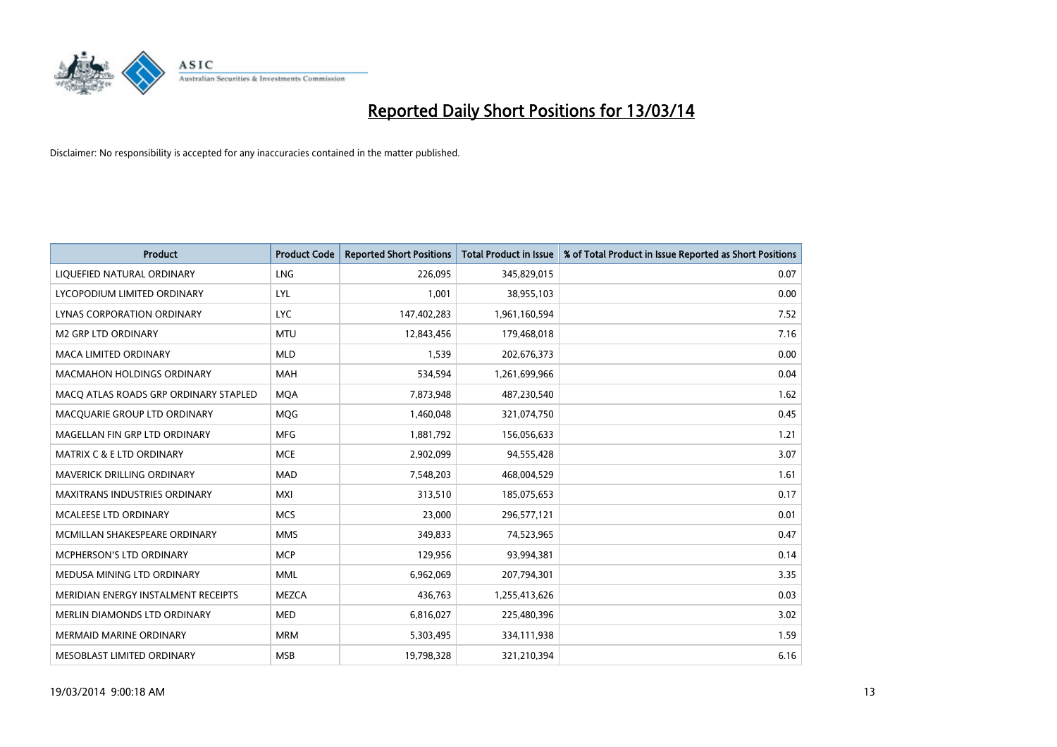

| <b>Product</b>                        | <b>Product Code</b> | <b>Reported Short Positions</b> | <b>Total Product in Issue</b> | % of Total Product in Issue Reported as Short Positions |
|---------------------------------------|---------------------|---------------------------------|-------------------------------|---------------------------------------------------------|
| LIQUEFIED NATURAL ORDINARY            | <b>LNG</b>          | 226,095                         | 345,829,015                   | 0.07                                                    |
| LYCOPODIUM LIMITED ORDINARY           | <b>LYL</b>          | 1,001                           | 38,955,103                    | 0.00                                                    |
| LYNAS CORPORATION ORDINARY            | <b>LYC</b>          | 147,402,283                     | 1,961,160,594                 | 7.52                                                    |
| M2 GRP LTD ORDINARY                   | <b>MTU</b>          | 12,843,456                      | 179,468,018                   | 7.16                                                    |
| <b>MACA LIMITED ORDINARY</b>          | <b>MLD</b>          | 1,539                           | 202,676,373                   | 0.00                                                    |
| <b>MACMAHON HOLDINGS ORDINARY</b>     | <b>MAH</b>          | 534,594                         | 1,261,699,966                 | 0.04                                                    |
| MACO ATLAS ROADS GRP ORDINARY STAPLED | <b>MOA</b>          | 7,873,948                       | 487,230,540                   | 1.62                                                    |
| MACQUARIE GROUP LTD ORDINARY          | <b>MOG</b>          | 1,460,048                       | 321,074,750                   | 0.45                                                    |
| MAGELLAN FIN GRP LTD ORDINARY         | <b>MFG</b>          | 1,881,792                       | 156,056,633                   | 1.21                                                    |
| <b>MATRIX C &amp; E LTD ORDINARY</b>  | <b>MCE</b>          | 2,902,099                       | 94,555,428                    | 3.07                                                    |
| MAVERICK DRILLING ORDINARY            | <b>MAD</b>          | 7,548,203                       | 468,004,529                   | 1.61                                                    |
| <b>MAXITRANS INDUSTRIES ORDINARY</b>  | <b>MXI</b>          | 313,510                         | 185,075,653                   | 0.17                                                    |
| MCALEESE LTD ORDINARY                 | <b>MCS</b>          | 23,000                          | 296,577,121                   | 0.01                                                    |
| MCMILLAN SHAKESPEARE ORDINARY         | <b>MMS</b>          | 349,833                         | 74,523,965                    | 0.47                                                    |
| <b>MCPHERSON'S LTD ORDINARY</b>       | <b>MCP</b>          | 129,956                         | 93,994,381                    | 0.14                                                    |
| MEDUSA MINING LTD ORDINARY            | <b>MML</b>          | 6,962,069                       | 207,794,301                   | 3.35                                                    |
| MERIDIAN ENERGY INSTALMENT RECEIPTS   | <b>MEZCA</b>        | 436,763                         | 1,255,413,626                 | 0.03                                                    |
| MERLIN DIAMONDS LTD ORDINARY          | <b>MED</b>          | 6,816,027                       | 225,480,396                   | 3.02                                                    |
| <b>MERMAID MARINE ORDINARY</b>        | <b>MRM</b>          | 5,303,495                       | 334,111,938                   | 1.59                                                    |
| MESOBLAST LIMITED ORDINARY            | <b>MSB</b>          | 19,798,328                      | 321,210,394                   | 6.16                                                    |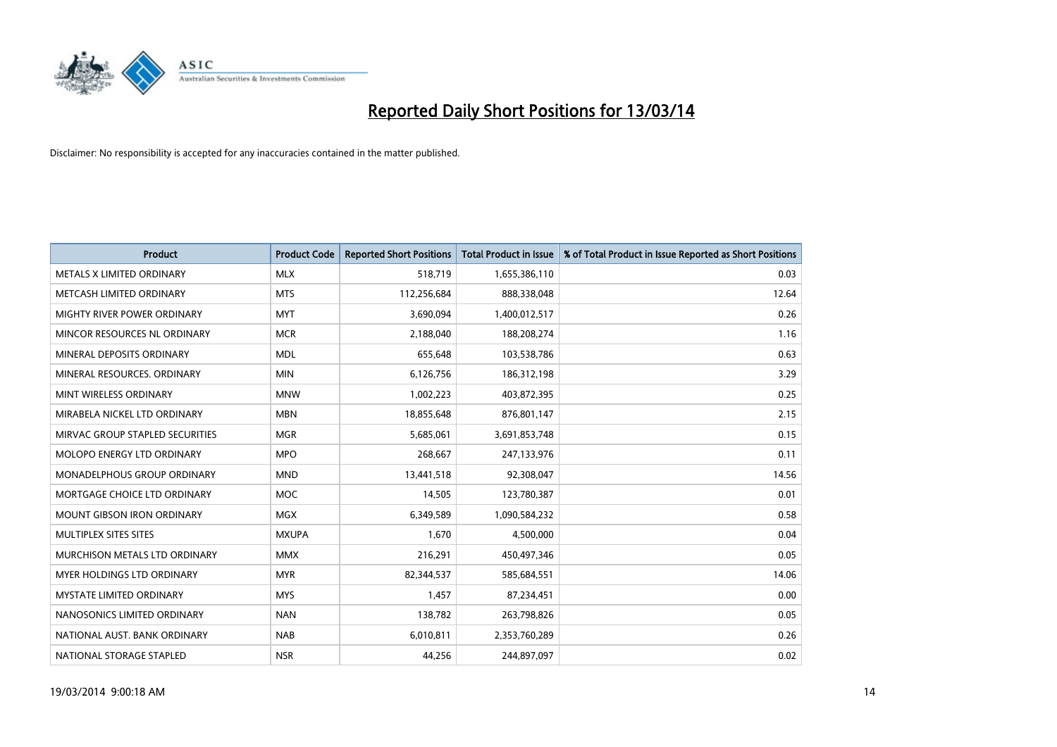

| <b>Product</b>                       | <b>Product Code</b> | <b>Reported Short Positions</b> | <b>Total Product in Issue</b> | % of Total Product in Issue Reported as Short Positions |
|--------------------------------------|---------------------|---------------------------------|-------------------------------|---------------------------------------------------------|
| METALS X LIMITED ORDINARY            | <b>MLX</b>          | 518,719                         | 1,655,386,110                 | 0.03                                                    |
| METCASH LIMITED ORDINARY             | <b>MTS</b>          | 112,256,684                     | 888,338,048                   | 12.64                                                   |
| <b>MIGHTY RIVER POWER ORDINARY</b>   | <b>MYT</b>          | 3,690,094                       | 1,400,012,517                 | 0.26                                                    |
| MINCOR RESOURCES NL ORDINARY         | <b>MCR</b>          | 2,188,040                       | 188,208,274                   | 1.16                                                    |
| MINERAL DEPOSITS ORDINARY            | <b>MDL</b>          | 655,648                         | 103,538,786                   | 0.63                                                    |
| MINERAL RESOURCES, ORDINARY          | <b>MIN</b>          | 6,126,756                       | 186,312,198                   | 3.29                                                    |
| MINT WIRELESS ORDINARY               | <b>MNW</b>          | 1,002,223                       | 403,872,395                   | 0.25                                                    |
| MIRABELA NICKEL LTD ORDINARY         | <b>MBN</b>          | 18,855,648                      | 876,801,147                   | 2.15                                                    |
| MIRVAC GROUP STAPLED SECURITIES      | <b>MGR</b>          | 5,685,061                       | 3,691,853,748                 | 0.15                                                    |
| MOLOPO ENERGY LTD ORDINARY           | <b>MPO</b>          | 268,667                         | 247,133,976                   | 0.11                                                    |
| MONADELPHOUS GROUP ORDINARY          | <b>MND</b>          | 13,441,518                      | 92,308,047                    | 14.56                                                   |
| MORTGAGE CHOICE LTD ORDINARY         | <b>MOC</b>          | 14,505                          | 123,780,387                   | 0.01                                                    |
| <b>MOUNT GIBSON IRON ORDINARY</b>    | <b>MGX</b>          | 6,349,589                       | 1,090,584,232                 | 0.58                                                    |
| MULTIPLEX SITES SITES                | <b>MXUPA</b>        | 1,670                           | 4,500,000                     | 0.04                                                    |
| <b>MURCHISON METALS LTD ORDINARY</b> | <b>MMX</b>          | 216,291                         | 450,497,346                   | 0.05                                                    |
| <b>MYER HOLDINGS LTD ORDINARY</b>    | <b>MYR</b>          | 82,344,537                      | 585,684,551                   | 14.06                                                   |
| MYSTATE LIMITED ORDINARY             | <b>MYS</b>          | 1,457                           | 87,234,451                    | 0.00                                                    |
| NANOSONICS LIMITED ORDINARY          | <b>NAN</b>          | 138,782                         | 263,798,826                   | 0.05                                                    |
| NATIONAL AUST, BANK ORDINARY         | <b>NAB</b>          | 6,010,811                       | 2,353,760,289                 | 0.26                                                    |
| NATIONAL STORAGE STAPLED             | <b>NSR</b>          | 44,256                          | 244,897,097                   | 0.02                                                    |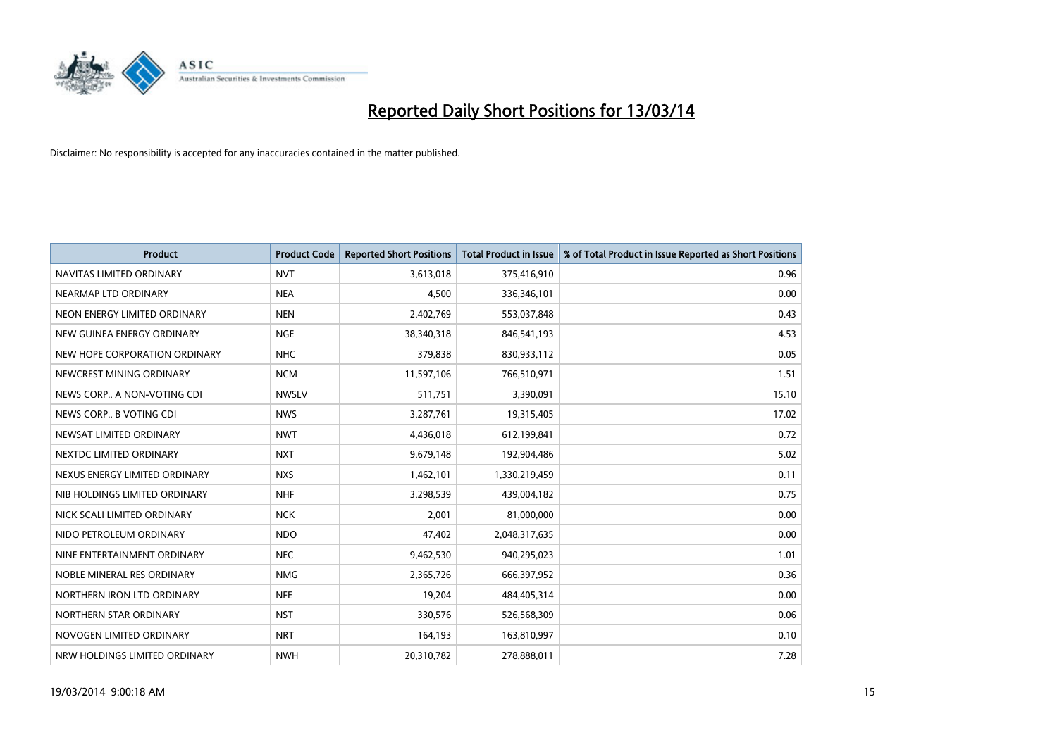

| <b>Product</b>                | <b>Product Code</b> | <b>Reported Short Positions</b> | <b>Total Product in Issue</b> | % of Total Product in Issue Reported as Short Positions |
|-------------------------------|---------------------|---------------------------------|-------------------------------|---------------------------------------------------------|
| NAVITAS LIMITED ORDINARY      | <b>NVT</b>          | 3,613,018                       | 375,416,910                   | 0.96                                                    |
| NEARMAP LTD ORDINARY          | <b>NEA</b>          | 4,500                           | 336,346,101                   | 0.00                                                    |
| NEON ENERGY LIMITED ORDINARY  | <b>NEN</b>          | 2,402,769                       | 553,037,848                   | 0.43                                                    |
| NEW GUINEA ENERGY ORDINARY    | <b>NGE</b>          | 38,340,318                      | 846,541,193                   | 4.53                                                    |
| NEW HOPE CORPORATION ORDINARY | <b>NHC</b>          | 379,838                         | 830,933,112                   | 0.05                                                    |
| NEWCREST MINING ORDINARY      | <b>NCM</b>          | 11,597,106                      | 766,510,971                   | 1.51                                                    |
| NEWS CORP A NON-VOTING CDI    | <b>NWSLV</b>        | 511,751                         | 3,390,091                     | 15.10                                                   |
| NEWS CORP B VOTING CDI        | <b>NWS</b>          | 3,287,761                       | 19,315,405                    | 17.02                                                   |
| NEWSAT LIMITED ORDINARY       | <b>NWT</b>          | 4,436,018                       | 612,199,841                   | 0.72                                                    |
| NEXTDC LIMITED ORDINARY       | <b>NXT</b>          | 9,679,148                       | 192,904,486                   | 5.02                                                    |
| NEXUS ENERGY LIMITED ORDINARY | <b>NXS</b>          | 1,462,101                       | 1,330,219,459                 | 0.11                                                    |
| NIB HOLDINGS LIMITED ORDINARY | <b>NHF</b>          | 3,298,539                       | 439,004,182                   | 0.75                                                    |
| NICK SCALI LIMITED ORDINARY   | <b>NCK</b>          | 2,001                           | 81,000,000                    | 0.00                                                    |
| NIDO PETROLEUM ORDINARY       | <b>NDO</b>          | 47,402                          | 2,048,317,635                 | 0.00                                                    |
| NINE ENTERTAINMENT ORDINARY   | <b>NEC</b>          | 9,462,530                       | 940,295,023                   | 1.01                                                    |
| NOBLE MINERAL RES ORDINARY    | <b>NMG</b>          | 2,365,726                       | 666,397,952                   | 0.36                                                    |
| NORTHERN IRON LTD ORDINARY    | <b>NFE</b>          | 19,204                          | 484,405,314                   | 0.00                                                    |
| NORTHERN STAR ORDINARY        | <b>NST</b>          | 330,576                         | 526,568,309                   | 0.06                                                    |
| NOVOGEN LIMITED ORDINARY      | <b>NRT</b>          | 164,193                         | 163,810,997                   | 0.10                                                    |
| NRW HOLDINGS LIMITED ORDINARY | <b>NWH</b>          | 20,310,782                      | 278,888,011                   | 7.28                                                    |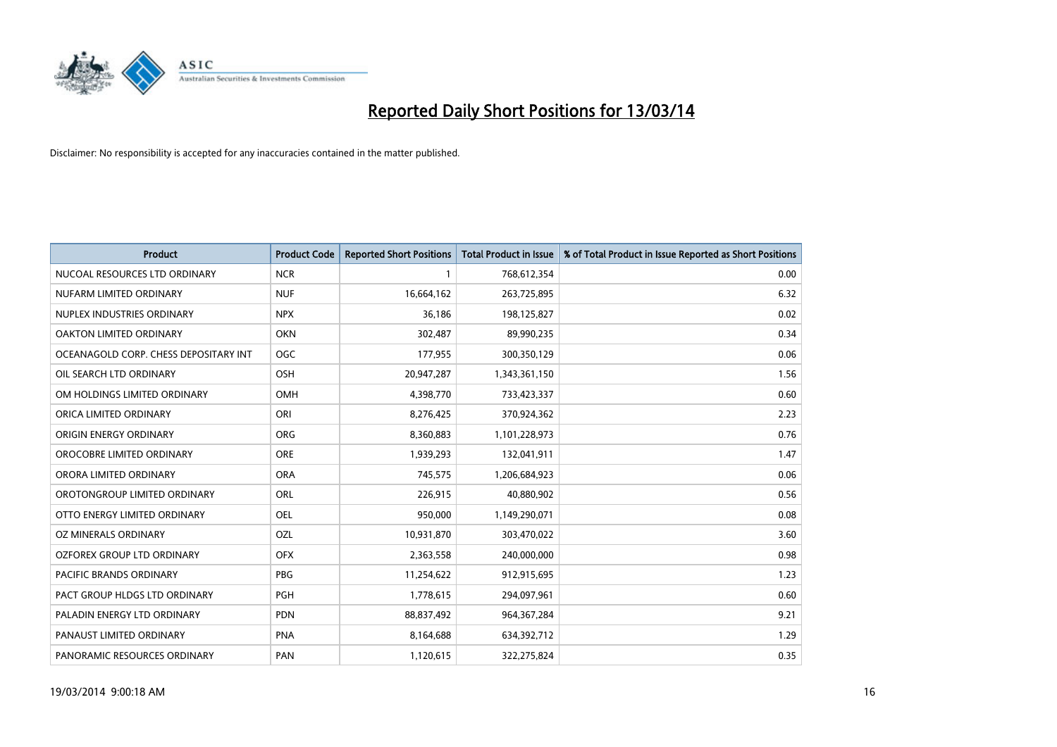

| <b>Product</b>                        | <b>Product Code</b> | <b>Reported Short Positions</b> | <b>Total Product in Issue</b> | % of Total Product in Issue Reported as Short Positions |
|---------------------------------------|---------------------|---------------------------------|-------------------------------|---------------------------------------------------------|
| NUCOAL RESOURCES LTD ORDINARY         | <b>NCR</b>          |                                 | 768,612,354                   | 0.00                                                    |
| NUFARM LIMITED ORDINARY               | <b>NUF</b>          | 16,664,162                      | 263,725,895                   | 6.32                                                    |
| NUPLEX INDUSTRIES ORDINARY            | <b>NPX</b>          | 36,186                          | 198,125,827                   | 0.02                                                    |
| OAKTON LIMITED ORDINARY               | <b>OKN</b>          | 302,487                         | 89,990,235                    | 0.34                                                    |
| OCEANAGOLD CORP. CHESS DEPOSITARY INT | <b>OGC</b>          | 177,955                         | 300,350,129                   | 0.06                                                    |
| OIL SEARCH LTD ORDINARY               | OSH                 | 20,947,287                      | 1,343,361,150                 | 1.56                                                    |
| OM HOLDINGS LIMITED ORDINARY          | OMH                 | 4,398,770                       | 733,423,337                   | 0.60                                                    |
| ORICA LIMITED ORDINARY                | ORI                 | 8,276,425                       | 370,924,362                   | 2.23                                                    |
| ORIGIN ENERGY ORDINARY                | <b>ORG</b>          | 8,360,883                       | 1,101,228,973                 | 0.76                                                    |
| OROCOBRE LIMITED ORDINARY             | <b>ORE</b>          | 1,939,293                       | 132,041,911                   | 1.47                                                    |
| ORORA LIMITED ORDINARY                | <b>ORA</b>          | 745,575                         | 1,206,684,923                 | 0.06                                                    |
| OROTONGROUP LIMITED ORDINARY          | ORL                 | 226,915                         | 40,880,902                    | 0.56                                                    |
| OTTO ENERGY LIMITED ORDINARY          | OEL                 | 950,000                         | 1,149,290,071                 | 0.08                                                    |
| OZ MINERALS ORDINARY                  | OZL                 | 10,931,870                      | 303,470,022                   | 3.60                                                    |
| OZFOREX GROUP LTD ORDINARY            | <b>OFX</b>          | 2,363,558                       | 240,000,000                   | 0.98                                                    |
| PACIFIC BRANDS ORDINARY               | <b>PBG</b>          | 11,254,622                      | 912,915,695                   | 1.23                                                    |
| PACT GROUP HLDGS LTD ORDINARY         | <b>PGH</b>          | 1,778,615                       | 294,097,961                   | 0.60                                                    |
| PALADIN ENERGY LTD ORDINARY           | <b>PDN</b>          | 88,837,492                      | 964, 367, 284                 | 9.21                                                    |
| PANAUST LIMITED ORDINARY              | <b>PNA</b>          | 8,164,688                       | 634,392,712                   | 1.29                                                    |
| PANORAMIC RESOURCES ORDINARY          | PAN                 | 1,120,615                       | 322,275,824                   | 0.35                                                    |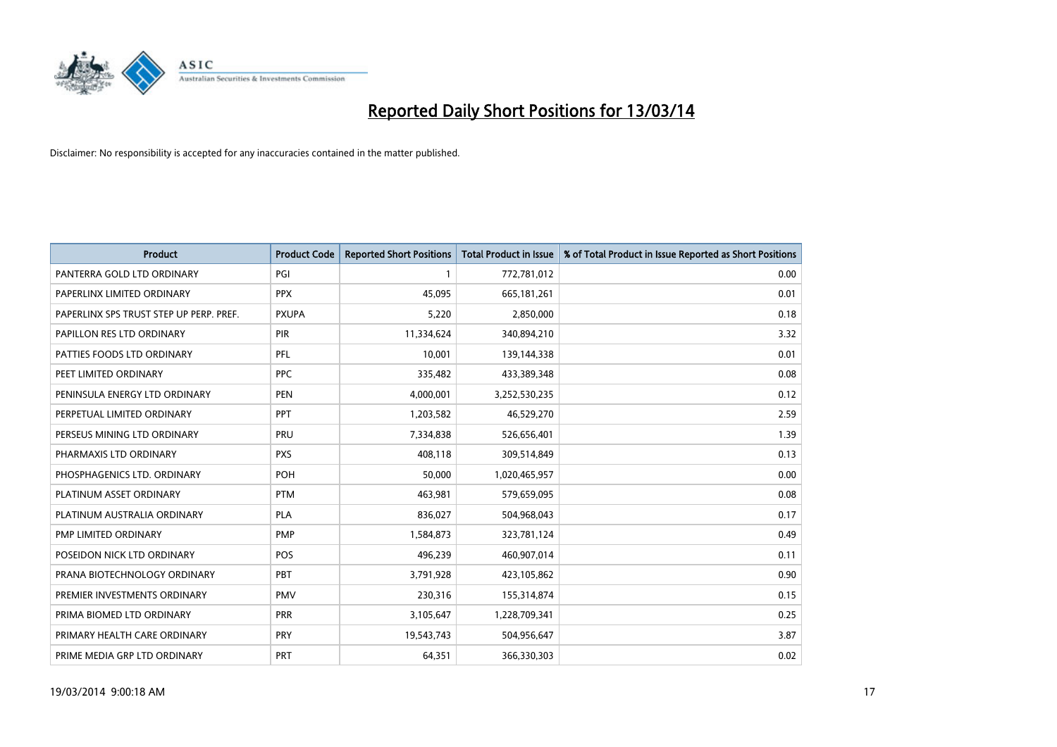

| <b>Product</b>                          | <b>Product Code</b> | <b>Reported Short Positions</b> | Total Product in Issue | % of Total Product in Issue Reported as Short Positions |
|-----------------------------------------|---------------------|---------------------------------|------------------------|---------------------------------------------------------|
| PANTERRA GOLD LTD ORDINARY              | PGI                 |                                 | 772,781,012            | 0.00                                                    |
| PAPERLINX LIMITED ORDINARY              | <b>PPX</b>          | 45,095                          | 665,181,261            | 0.01                                                    |
| PAPERLINX SPS TRUST STEP UP PERP. PREF. | <b>PXUPA</b>        | 5,220                           | 2,850,000              | 0.18                                                    |
| PAPILLON RES LTD ORDINARY               | PIR                 | 11,334,624                      | 340,894,210            | 3.32                                                    |
| PATTIES FOODS LTD ORDINARY              | <b>PFL</b>          | 10,001                          | 139,144,338            | 0.01                                                    |
| PEET LIMITED ORDINARY                   | <b>PPC</b>          | 335,482                         | 433,389,348            | 0.08                                                    |
| PENINSULA ENERGY LTD ORDINARY           | <b>PEN</b>          | 4,000,001                       | 3,252,530,235          | 0.12                                                    |
| PERPETUAL LIMITED ORDINARY              | PPT                 | 1,203,582                       | 46,529,270             | 2.59                                                    |
| PERSEUS MINING LTD ORDINARY             | PRU                 | 7,334,838                       | 526,656,401            | 1.39                                                    |
| PHARMAXIS LTD ORDINARY                  | <b>PXS</b>          | 408.118                         | 309,514,849            | 0.13                                                    |
| PHOSPHAGENICS LTD. ORDINARY             | POH                 | 50,000                          | 1,020,465,957          | 0.00                                                    |
| PLATINUM ASSET ORDINARY                 | <b>PTM</b>          | 463,981                         | 579,659,095            | 0.08                                                    |
| PLATINUM AUSTRALIA ORDINARY             | <b>PLA</b>          | 836,027                         | 504,968,043            | 0.17                                                    |
| PMP LIMITED ORDINARY                    | <b>PMP</b>          | 1,584,873                       | 323,781,124            | 0.49                                                    |
| POSEIDON NICK LTD ORDINARY              | <b>POS</b>          | 496,239                         | 460,907,014            | 0.11                                                    |
| PRANA BIOTECHNOLOGY ORDINARY            | PBT                 | 3,791,928                       | 423,105,862            | 0.90                                                    |
| PREMIER INVESTMENTS ORDINARY            | <b>PMV</b>          | 230,316                         | 155,314,874            | 0.15                                                    |
| PRIMA BIOMED LTD ORDINARY               | PRR                 | 3,105,647                       | 1,228,709,341          | 0.25                                                    |
| PRIMARY HEALTH CARE ORDINARY            | <b>PRY</b>          | 19,543,743                      | 504,956,647            | 3.87                                                    |
| PRIME MEDIA GRP LTD ORDINARY            | PRT                 | 64,351                          | 366,330,303            | 0.02                                                    |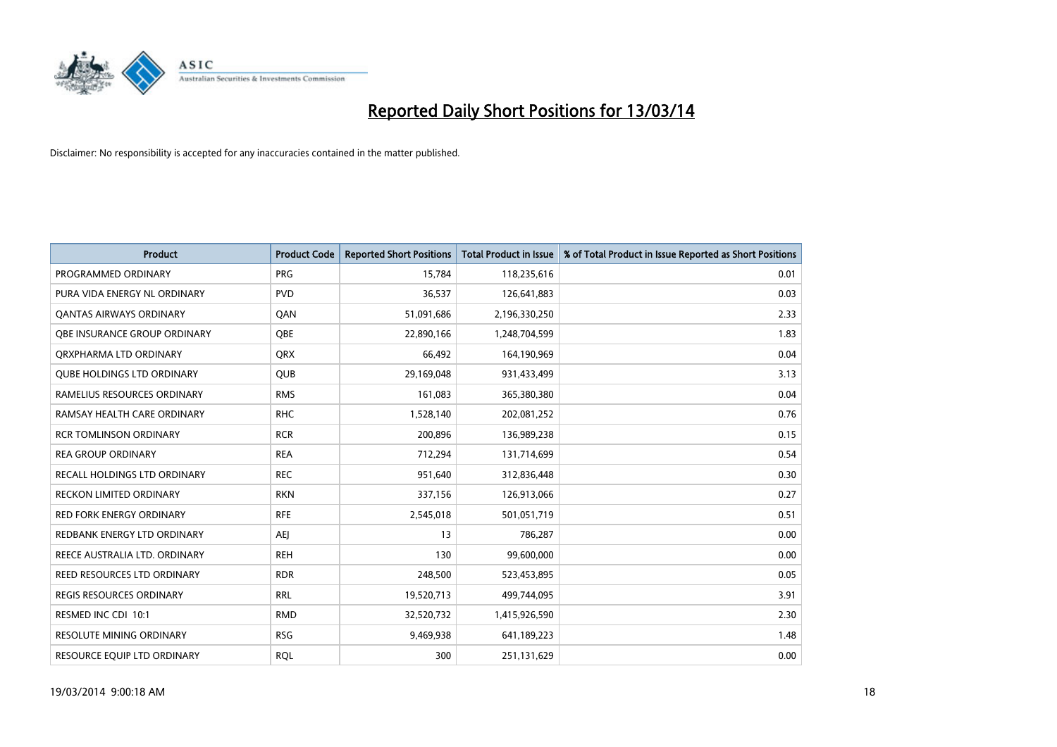

| <b>Product</b>                      | <b>Product Code</b> | <b>Reported Short Positions</b> | <b>Total Product in Issue</b> | % of Total Product in Issue Reported as Short Positions |
|-------------------------------------|---------------------|---------------------------------|-------------------------------|---------------------------------------------------------|
| PROGRAMMED ORDINARY                 | <b>PRG</b>          | 15,784                          | 118,235,616                   | 0.01                                                    |
| PURA VIDA ENERGY NL ORDINARY        | <b>PVD</b>          | 36,537                          | 126,641,883                   | 0.03                                                    |
| <b>QANTAS AIRWAYS ORDINARY</b>      | QAN                 | 51,091,686                      | 2,196,330,250                 | 2.33                                                    |
| <b>OBE INSURANCE GROUP ORDINARY</b> | <b>OBE</b>          | 22,890,166                      | 1,248,704,599                 | 1.83                                                    |
| ORXPHARMA LTD ORDINARY              | <b>QRX</b>          | 66,492                          | 164,190,969                   | 0.04                                                    |
| <b>QUBE HOLDINGS LTD ORDINARY</b>   | <b>QUB</b>          | 29,169,048                      | 931,433,499                   | 3.13                                                    |
| RAMELIUS RESOURCES ORDINARY         | <b>RMS</b>          | 161,083                         | 365,380,380                   | 0.04                                                    |
| RAMSAY HEALTH CARE ORDINARY         | <b>RHC</b>          | 1,528,140                       | 202,081,252                   | 0.76                                                    |
| <b>RCR TOMLINSON ORDINARY</b>       | <b>RCR</b>          | 200,896                         | 136,989,238                   | 0.15                                                    |
| <b>REA GROUP ORDINARY</b>           | <b>REA</b>          | 712,294                         | 131,714,699                   | 0.54                                                    |
| RECALL HOLDINGS LTD ORDINARY        | <b>REC</b>          | 951,640                         | 312,836,448                   | 0.30                                                    |
| <b>RECKON LIMITED ORDINARY</b>      | <b>RKN</b>          | 337,156                         | 126,913,066                   | 0.27                                                    |
| <b>RED FORK ENERGY ORDINARY</b>     | <b>RFE</b>          | 2,545,018                       | 501,051,719                   | 0.51                                                    |
| REDBANK ENERGY LTD ORDINARY         | AEJ                 | 13                              | 786,287                       | 0.00                                                    |
| REECE AUSTRALIA LTD. ORDINARY       | <b>REH</b>          | 130                             | 99,600,000                    | 0.00                                                    |
| REED RESOURCES LTD ORDINARY         | <b>RDR</b>          | 248,500                         | 523,453,895                   | 0.05                                                    |
| REGIS RESOURCES ORDINARY            | <b>RRL</b>          | 19,520,713                      | 499,744,095                   | 3.91                                                    |
| RESMED INC CDI 10:1                 | <b>RMD</b>          | 32,520,732                      | 1,415,926,590                 | 2.30                                                    |
| <b>RESOLUTE MINING ORDINARY</b>     | <b>RSG</b>          | 9,469,938                       | 641,189,223                   | 1.48                                                    |
| RESOURCE EQUIP LTD ORDINARY         | <b>RQL</b>          | 300                             | 251,131,629                   | 0.00                                                    |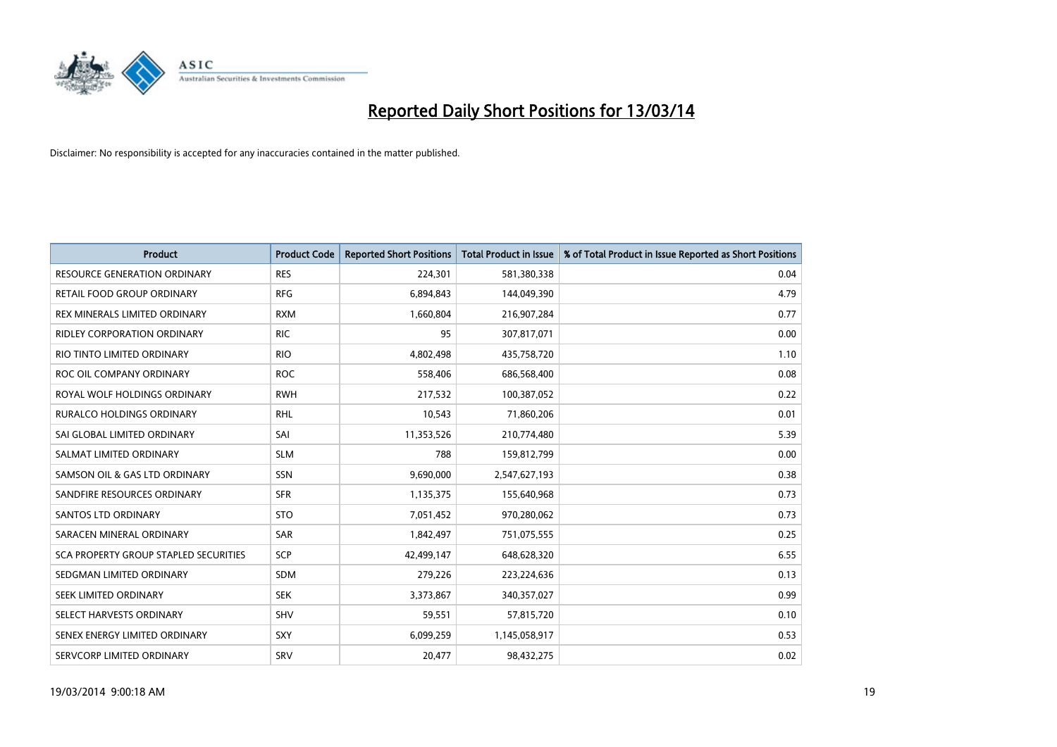

| <b>Product</b>                        | <b>Product Code</b> | <b>Reported Short Positions</b> | <b>Total Product in Issue</b> | % of Total Product in Issue Reported as Short Positions |
|---------------------------------------|---------------------|---------------------------------|-------------------------------|---------------------------------------------------------|
| <b>RESOURCE GENERATION ORDINARY</b>   | <b>RES</b>          | 224,301                         | 581,380,338                   | 0.04                                                    |
| RETAIL FOOD GROUP ORDINARY            | <b>RFG</b>          | 6,894,843                       | 144,049,390                   | 4.79                                                    |
| REX MINERALS LIMITED ORDINARY         | <b>RXM</b>          | 1,660,804                       | 216,907,284                   | 0.77                                                    |
| RIDLEY CORPORATION ORDINARY           | <b>RIC</b>          | 95                              | 307,817,071                   | 0.00                                                    |
| RIO TINTO LIMITED ORDINARY            | <b>RIO</b>          | 4,802,498                       | 435,758,720                   | 1.10                                                    |
| ROC OIL COMPANY ORDINARY              | <b>ROC</b>          | 558,406                         | 686,568,400                   | 0.08                                                    |
| ROYAL WOLF HOLDINGS ORDINARY          | <b>RWH</b>          | 217,532                         | 100,387,052                   | 0.22                                                    |
| RURALCO HOLDINGS ORDINARY             | <b>RHL</b>          | 10,543                          | 71,860,206                    | 0.01                                                    |
| SAI GLOBAL LIMITED ORDINARY           | SAI                 | 11,353,526                      | 210,774,480                   | 5.39                                                    |
| SALMAT LIMITED ORDINARY               | <b>SLM</b>          | 788                             | 159,812,799                   | 0.00                                                    |
| SAMSON OIL & GAS LTD ORDINARY         | SSN                 | 9,690,000                       | 2,547,627,193                 | 0.38                                                    |
| SANDFIRE RESOURCES ORDINARY           | <b>SFR</b>          | 1,135,375                       | 155,640,968                   | 0.73                                                    |
| <b>SANTOS LTD ORDINARY</b>            | <b>STO</b>          | 7,051,452                       | 970,280,062                   | 0.73                                                    |
| SARACEN MINERAL ORDINARY              | SAR                 | 1,842,497                       | 751,075,555                   | 0.25                                                    |
| SCA PROPERTY GROUP STAPLED SECURITIES | SCP                 | 42,499,147                      | 648,628,320                   | 6.55                                                    |
| SEDGMAN LIMITED ORDINARY              | <b>SDM</b>          | 279,226                         | 223,224,636                   | 0.13                                                    |
| SEEK LIMITED ORDINARY                 | <b>SEK</b>          | 3,373,867                       | 340,357,027                   | 0.99                                                    |
| SELECT HARVESTS ORDINARY              | SHV                 | 59,551                          | 57,815,720                    | 0.10                                                    |
| SENEX ENERGY LIMITED ORDINARY         | <b>SXY</b>          | 6,099,259                       | 1,145,058,917                 | 0.53                                                    |
| SERVCORP LIMITED ORDINARY             | SRV                 | 20,477                          | 98,432,275                    | 0.02                                                    |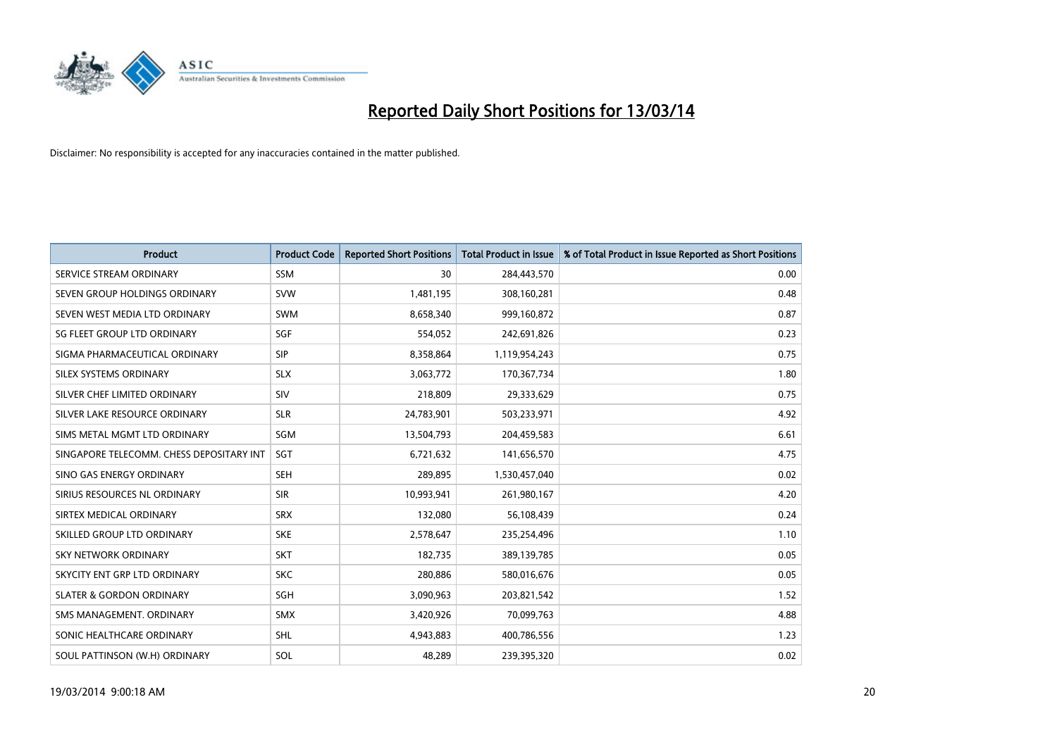

| <b>Product</b>                           | <b>Product Code</b> | <b>Reported Short Positions</b> | <b>Total Product in Issue</b> | % of Total Product in Issue Reported as Short Positions |
|------------------------------------------|---------------------|---------------------------------|-------------------------------|---------------------------------------------------------|
| SERVICE STREAM ORDINARY                  | <b>SSM</b>          | 30                              | 284,443,570                   | 0.00                                                    |
| SEVEN GROUP HOLDINGS ORDINARY            | <b>SVW</b>          | 1,481,195                       | 308,160,281                   | 0.48                                                    |
| SEVEN WEST MEDIA LTD ORDINARY            | <b>SWM</b>          | 8,658,340                       | 999,160,872                   | 0.87                                                    |
| SG FLEET GROUP LTD ORDINARY              | SGF                 | 554,052                         | 242,691,826                   | 0.23                                                    |
| SIGMA PHARMACEUTICAL ORDINARY            | <b>SIP</b>          | 8,358,864                       | 1,119,954,243                 | 0.75                                                    |
| SILEX SYSTEMS ORDINARY                   | <b>SLX</b>          | 3,063,772                       | 170,367,734                   | 1.80                                                    |
| SILVER CHEF LIMITED ORDINARY             | <b>SIV</b>          | 218,809                         | 29,333,629                    | 0.75                                                    |
| SILVER LAKE RESOURCE ORDINARY            | <b>SLR</b>          | 24,783,901                      | 503,233,971                   | 4.92                                                    |
| SIMS METAL MGMT LTD ORDINARY             | SGM                 | 13,504,793                      | 204,459,583                   | 6.61                                                    |
| SINGAPORE TELECOMM. CHESS DEPOSITARY INT | SGT                 | 6,721,632                       | 141,656,570                   | 4.75                                                    |
| SINO GAS ENERGY ORDINARY                 | <b>SEH</b>          | 289,895                         | 1,530,457,040                 | 0.02                                                    |
| SIRIUS RESOURCES NL ORDINARY             | <b>SIR</b>          | 10,993,941                      | 261,980,167                   | 4.20                                                    |
| SIRTEX MEDICAL ORDINARY                  | <b>SRX</b>          | 132,080                         | 56,108,439                    | 0.24                                                    |
| SKILLED GROUP LTD ORDINARY               | <b>SKE</b>          | 2,578,647                       | 235,254,496                   | 1.10                                                    |
| <b>SKY NETWORK ORDINARY</b>              | <b>SKT</b>          | 182,735                         | 389,139,785                   | 0.05                                                    |
| SKYCITY ENT GRP LTD ORDINARY             | <b>SKC</b>          | 280,886                         | 580,016,676                   | 0.05                                                    |
| <b>SLATER &amp; GORDON ORDINARY</b>      | <b>SGH</b>          | 3,090,963                       | 203,821,542                   | 1.52                                                    |
| SMS MANAGEMENT. ORDINARY                 | <b>SMX</b>          | 3,420,926                       | 70,099,763                    | 4.88                                                    |
| SONIC HEALTHCARE ORDINARY                | <b>SHL</b>          | 4,943,883                       | 400,786,556                   | 1.23                                                    |
| SOUL PATTINSON (W.H) ORDINARY            | SOL                 | 48,289                          | 239,395,320                   | 0.02                                                    |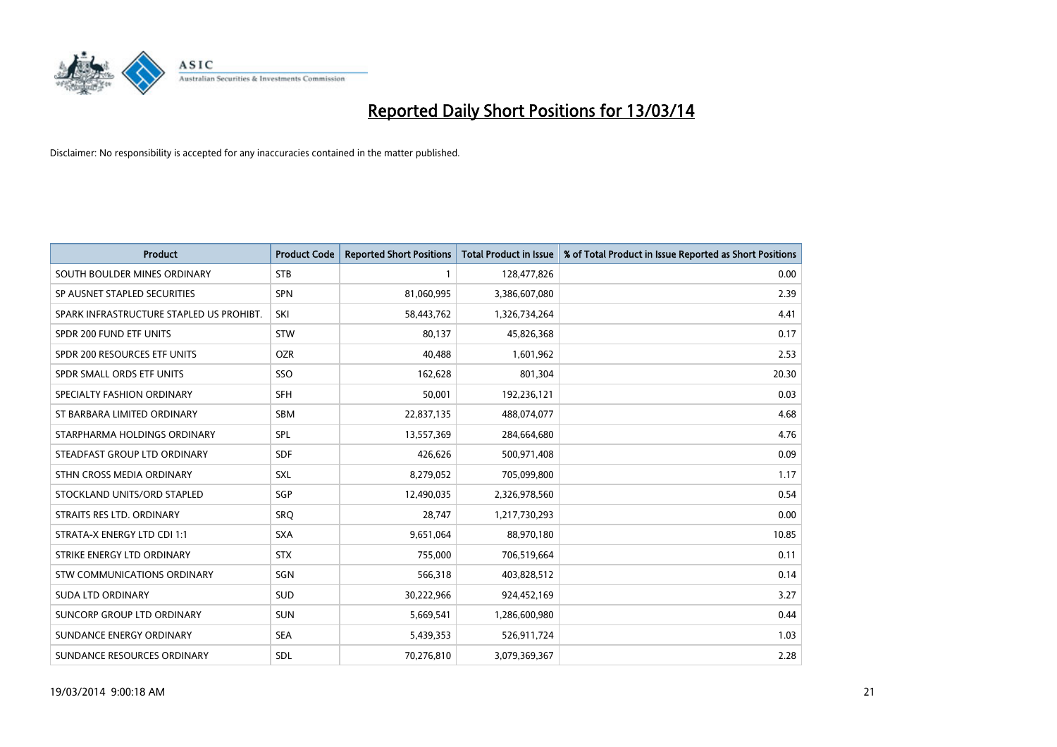

| <b>Product</b>                           | <b>Product Code</b> | <b>Reported Short Positions</b> | <b>Total Product in Issue</b> | % of Total Product in Issue Reported as Short Positions |
|------------------------------------------|---------------------|---------------------------------|-------------------------------|---------------------------------------------------------|
| SOUTH BOULDER MINES ORDINARY             | <b>STB</b>          |                                 | 128,477,826                   | 0.00                                                    |
| SP AUSNET STAPLED SECURITIES             | <b>SPN</b>          | 81,060,995                      | 3,386,607,080                 | 2.39                                                    |
| SPARK INFRASTRUCTURE STAPLED US PROHIBT. | SKI                 | 58,443,762                      | 1,326,734,264                 | 4.41                                                    |
| SPDR 200 FUND ETF UNITS                  | <b>STW</b>          | 80,137                          | 45,826,368                    | 0.17                                                    |
| SPDR 200 RESOURCES ETF UNITS             | <b>OZR</b>          | 40,488                          | 1,601,962                     | 2.53                                                    |
| SPDR SMALL ORDS ETF UNITS                | SSO                 | 162,628                         | 801,304                       | 20.30                                                   |
| SPECIALTY FASHION ORDINARY               | <b>SFH</b>          | 50,001                          | 192,236,121                   | 0.03                                                    |
| ST BARBARA LIMITED ORDINARY              | <b>SBM</b>          | 22,837,135                      | 488,074,077                   | 4.68                                                    |
| STARPHARMA HOLDINGS ORDINARY             | SPL                 | 13,557,369                      | 284,664,680                   | 4.76                                                    |
| STEADFAST GROUP LTD ORDINARY             | <b>SDF</b>          | 426,626                         | 500,971,408                   | 0.09                                                    |
| STHN CROSS MEDIA ORDINARY                | <b>SXL</b>          | 8,279,052                       | 705,099,800                   | 1.17                                                    |
| STOCKLAND UNITS/ORD STAPLED              | SGP                 | 12,490,035                      | 2,326,978,560                 | 0.54                                                    |
| STRAITS RES LTD. ORDINARY                | SRO                 | 28,747                          | 1,217,730,293                 | 0.00                                                    |
| STRATA-X ENERGY LTD CDI 1:1              | <b>SXA</b>          | 9,651,064                       | 88,970,180                    | 10.85                                                   |
| STRIKE ENERGY LTD ORDINARY               | <b>STX</b>          | 755,000                         | 706,519,664                   | 0.11                                                    |
| STW COMMUNICATIONS ORDINARY              | SGN                 | 566,318                         | 403,828,512                   | 0.14                                                    |
| <b>SUDA LTD ORDINARY</b>                 | <b>SUD</b>          | 30,222,966                      | 924,452,169                   | 3.27                                                    |
| SUNCORP GROUP LTD ORDINARY               | <b>SUN</b>          | 5,669,541                       | 1,286,600,980                 | 0.44                                                    |
| SUNDANCE ENERGY ORDINARY                 | <b>SEA</b>          | 5,439,353                       | 526,911,724                   | 1.03                                                    |
| SUNDANCE RESOURCES ORDINARY              | <b>SDL</b>          | 70,276,810                      | 3,079,369,367                 | 2.28                                                    |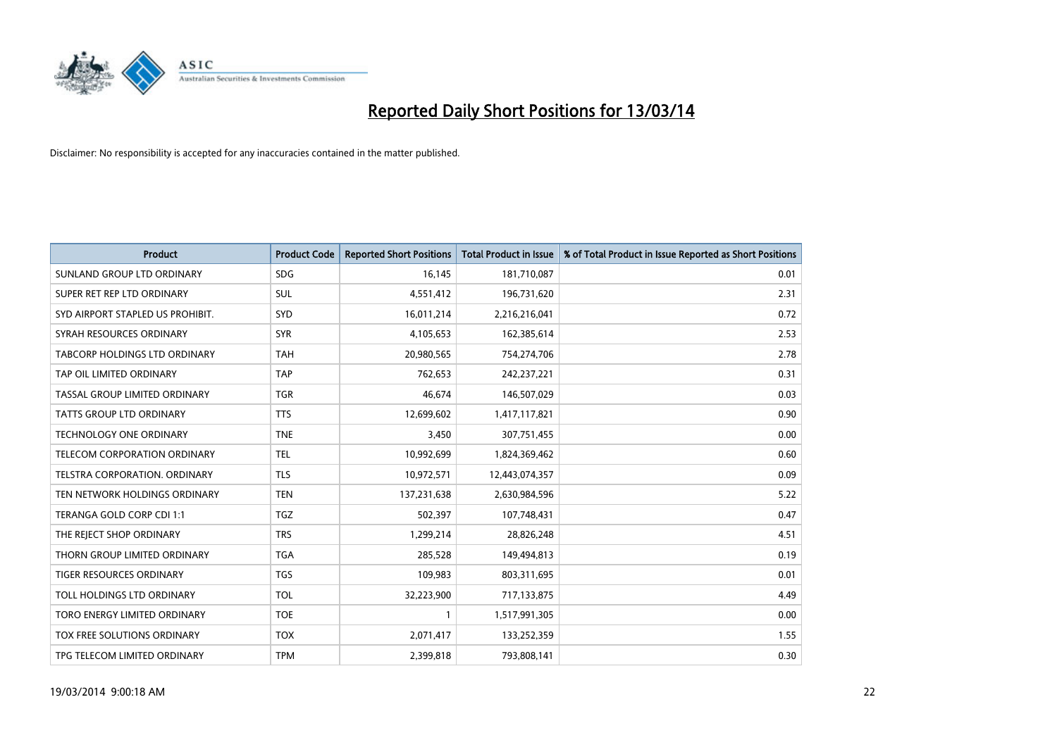

| <b>Product</b>                       | <b>Product Code</b> | <b>Reported Short Positions</b> | <b>Total Product in Issue</b> | % of Total Product in Issue Reported as Short Positions |
|--------------------------------------|---------------------|---------------------------------|-------------------------------|---------------------------------------------------------|
| SUNLAND GROUP LTD ORDINARY           | <b>SDG</b>          | 16,145                          | 181,710,087                   | 0.01                                                    |
| SUPER RET REP LTD ORDINARY           | <b>SUL</b>          | 4,551,412                       | 196,731,620                   | 2.31                                                    |
| SYD AIRPORT STAPLED US PROHIBIT.     | <b>SYD</b>          | 16,011,214                      | 2,216,216,041                 | 0.72                                                    |
| SYRAH RESOURCES ORDINARY             | <b>SYR</b>          | 4,105,653                       | 162,385,614                   | 2.53                                                    |
| <b>TABCORP HOLDINGS LTD ORDINARY</b> | <b>TAH</b>          | 20,980,565                      | 754,274,706                   | 2.78                                                    |
| TAP OIL LIMITED ORDINARY             | <b>TAP</b>          | 762,653                         | 242,237,221                   | 0.31                                                    |
| TASSAL GROUP LIMITED ORDINARY        | <b>TGR</b>          | 46,674                          | 146,507,029                   | 0.03                                                    |
| TATTS GROUP LTD ORDINARY             | <b>TTS</b>          | 12,699,602                      | 1,417,117,821                 | 0.90                                                    |
| <b>TECHNOLOGY ONE ORDINARY</b>       | <b>TNE</b>          | 3,450                           | 307,751,455                   | 0.00                                                    |
| TELECOM CORPORATION ORDINARY         | <b>TEL</b>          | 10,992,699                      | 1,824,369,462                 | 0.60                                                    |
| TELSTRA CORPORATION. ORDINARY        | <b>TLS</b>          | 10,972,571                      | 12,443,074,357                | 0.09                                                    |
| TEN NETWORK HOLDINGS ORDINARY        | <b>TEN</b>          | 137,231,638                     | 2,630,984,596                 | 5.22                                                    |
| TERANGA GOLD CORP CDI 1:1            | <b>TGZ</b>          | 502,397                         | 107,748,431                   | 0.47                                                    |
| THE REJECT SHOP ORDINARY             | <b>TRS</b>          | 1,299,214                       | 28,826,248                    | 4.51                                                    |
| THORN GROUP LIMITED ORDINARY         | <b>TGA</b>          | 285,528                         | 149,494,813                   | 0.19                                                    |
| TIGER RESOURCES ORDINARY             | <b>TGS</b>          | 109,983                         | 803,311,695                   | 0.01                                                    |
| TOLL HOLDINGS LTD ORDINARY           | <b>TOL</b>          | 32,223,900                      | 717,133,875                   | 4.49                                                    |
| TORO ENERGY LIMITED ORDINARY         | <b>TOE</b>          |                                 | 1,517,991,305                 | 0.00                                                    |
| TOX FREE SOLUTIONS ORDINARY          | <b>TOX</b>          | 2,071,417                       | 133,252,359                   | 1.55                                                    |
| TPG TELECOM LIMITED ORDINARY         | <b>TPM</b>          | 2,399,818                       | 793,808,141                   | 0.30                                                    |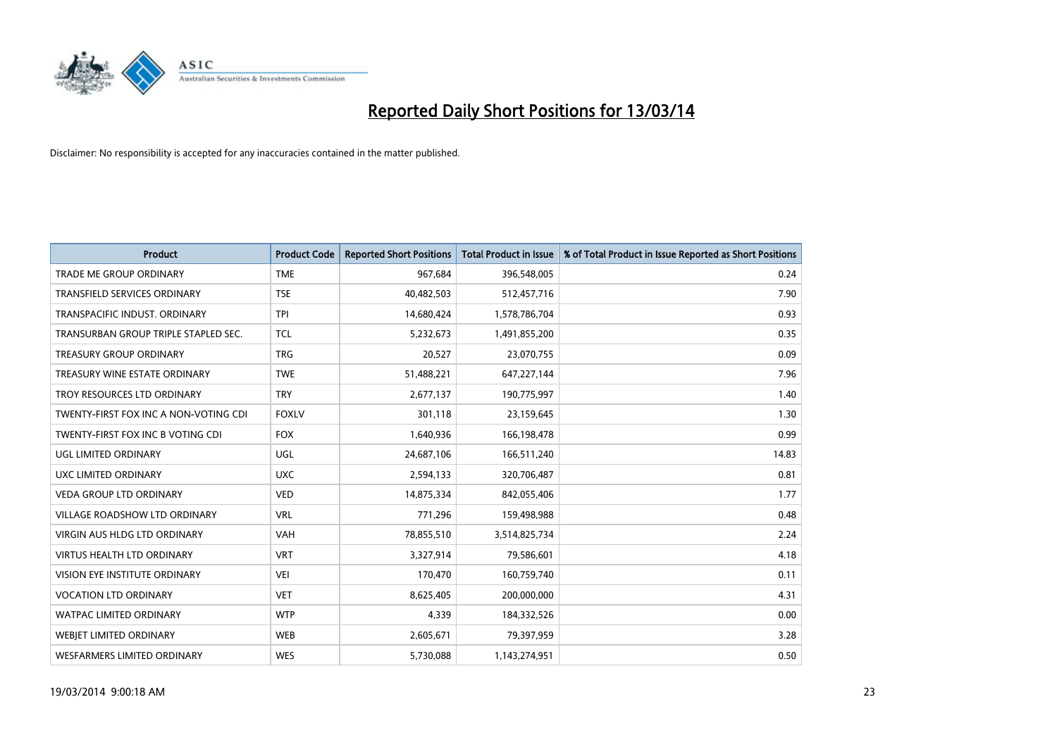

| <b>Product</b>                        | <b>Product Code</b> | <b>Reported Short Positions</b> | <b>Total Product in Issue</b> | % of Total Product in Issue Reported as Short Positions |
|---------------------------------------|---------------------|---------------------------------|-------------------------------|---------------------------------------------------------|
| <b>TRADE ME GROUP ORDINARY</b>        | <b>TME</b>          | 967,684                         | 396,548,005                   | 0.24                                                    |
| TRANSFIELD SERVICES ORDINARY          | <b>TSE</b>          | 40,482,503                      | 512,457,716                   | 7.90                                                    |
| TRANSPACIFIC INDUST, ORDINARY         | <b>TPI</b>          | 14,680,424                      | 1,578,786,704                 | 0.93                                                    |
| TRANSURBAN GROUP TRIPLE STAPLED SEC.  | <b>TCL</b>          | 5,232,673                       | 1,491,855,200                 | 0.35                                                    |
| TREASURY GROUP ORDINARY               | <b>TRG</b>          | 20,527                          | 23,070,755                    | 0.09                                                    |
| TREASURY WINE ESTATE ORDINARY         | <b>TWE</b>          | 51,488,221                      | 647,227,144                   | 7.96                                                    |
| TROY RESOURCES LTD ORDINARY           | <b>TRY</b>          | 2,677,137                       | 190,775,997                   | 1.40                                                    |
| TWENTY-FIRST FOX INC A NON-VOTING CDI | <b>FOXLV</b>        | 301,118                         | 23,159,645                    | 1.30                                                    |
| TWENTY-FIRST FOX INC B VOTING CDI     | <b>FOX</b>          | 1,640,936                       | 166,198,478                   | 0.99                                                    |
| UGL LIMITED ORDINARY                  | <b>UGL</b>          | 24,687,106                      | 166,511,240                   | 14.83                                                   |
| UXC LIMITED ORDINARY                  | <b>UXC</b>          | 2,594,133                       | 320,706,487                   | 0.81                                                    |
| <b>VEDA GROUP LTD ORDINARY</b>        | <b>VED</b>          | 14,875,334                      | 842,055,406                   | 1.77                                                    |
| VILLAGE ROADSHOW LTD ORDINARY         | <b>VRL</b>          | 771,296                         | 159,498,988                   | 0.48                                                    |
| <b>VIRGIN AUS HLDG LTD ORDINARY</b>   | VAH                 | 78,855,510                      | 3,514,825,734                 | 2.24                                                    |
| <b>VIRTUS HEALTH LTD ORDINARY</b>     | <b>VRT</b>          | 3,327,914                       | 79,586,601                    | 4.18                                                    |
| <b>VISION EYE INSTITUTE ORDINARY</b>  | <b>VEI</b>          | 170,470                         | 160,759,740                   | 0.11                                                    |
| <b>VOCATION LTD ORDINARY</b>          | <b>VET</b>          | 8,625,405                       | 200,000,000                   | 4.31                                                    |
| WATPAC LIMITED ORDINARY               | <b>WTP</b>          | 4,339                           | 184,332,526                   | 0.00                                                    |
| WEBJET LIMITED ORDINARY               | <b>WEB</b>          | 2,605,671                       | 79,397,959                    | 3.28                                                    |
| WESFARMERS LIMITED ORDINARY           | <b>WES</b>          | 5,730,088                       | 1,143,274,951                 | 0.50                                                    |